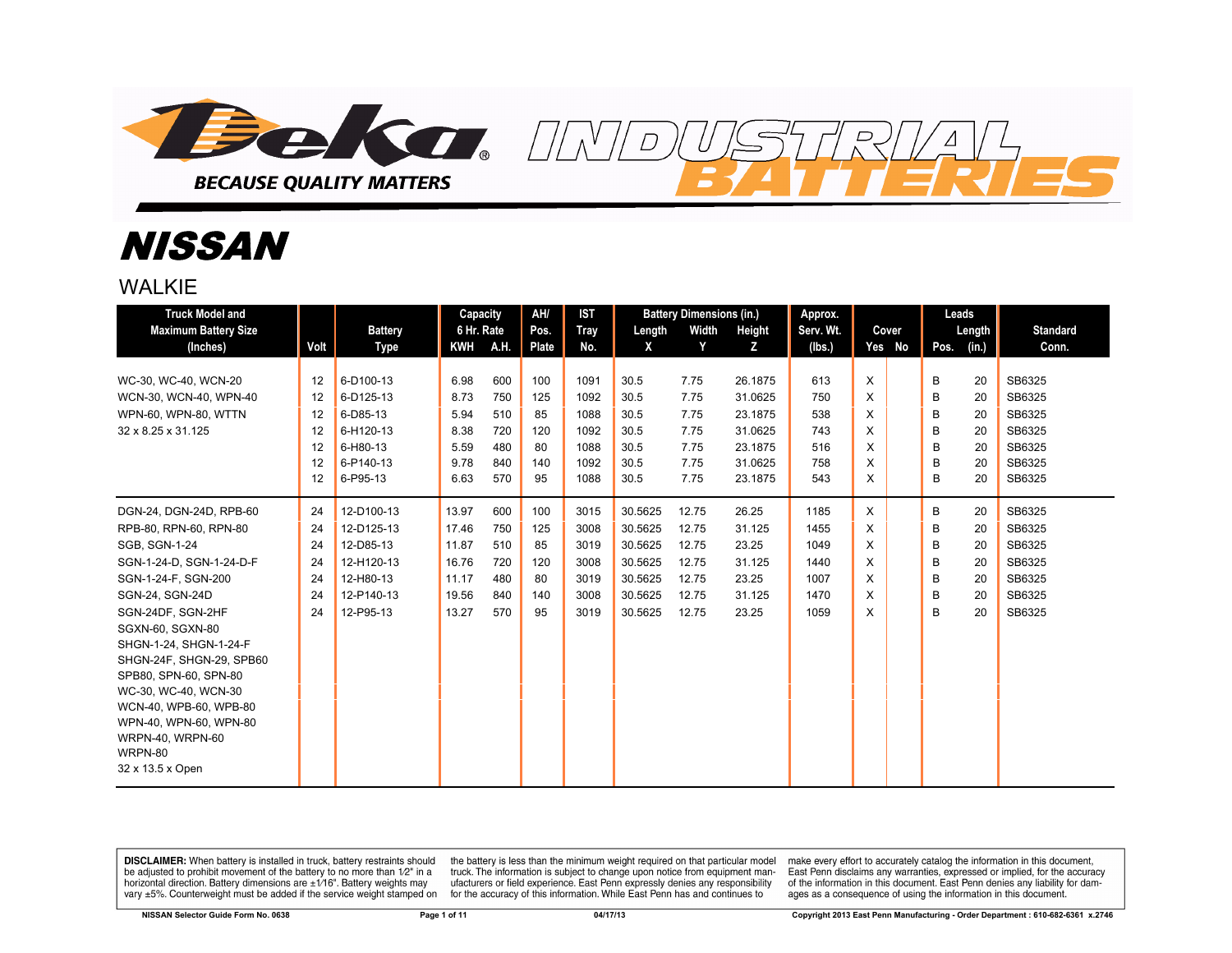

# NISSAN

WAI KIF

| <b>Truck Model and</b>                           |      |                        | Capacity          |      | AH/                  | <b>IST</b>         |             | <b>Battery Dimensions (in.)</b> |             | Approx.             |   |                 | Leads |                 |                          |
|--------------------------------------------------|------|------------------------|-------------------|------|----------------------|--------------------|-------------|---------------------------------|-------------|---------------------|---|-----------------|-------|-----------------|--------------------------|
| <b>Maximum Battery Size</b><br>(Inches)          | Volt | <b>Battery</b><br>Type | 6 Hr. Rate<br>KWH | A.H. | Pos.<br><b>Plate</b> | <b>Tray</b><br>No. | Length<br>X | Width<br>Y                      | Height<br>z | Serv. Wt.<br>(lbs.) |   | Cover<br>Yes No | Pos.  | Length<br>(in.) | <b>Standard</b><br>Conn. |
|                                                  |      |                        |                   |      |                      |                    |             |                                 |             |                     |   |                 |       |                 |                          |
| WC-30, WC-40, WCN-20                             | 12   | 6-D100-13              | 6.98              | 600  | 100                  | 1091               | 30.5        | 7.75                            | 26.1875     | 613                 | X |                 | B     | 20              | SB6325                   |
| WCN-30, WCN-40, WPN-40                           | 12   | 6-D125-13              | 8.73              | 750  | 125                  | 1092               | 30.5        | 7.75                            | 31.0625     | 750                 | X |                 | B     | 20              | SB6325                   |
| WPN-60, WPN-80, WTTN                             | 12   | 6-D85-13               | 5.94              | 510  | 85                   | 1088               | 30.5        | 7.75                            | 23.1875     | 538                 | X |                 | B     | 20              | SB6325                   |
| 32 x 8.25 x 31.125                               | 12   | 6-H120-13              | 8.38              | 720  | 120                  | 1092               | 30.5        | 7.75                            | 31.0625     | 743                 | X |                 | B     | 20              | SB6325                   |
|                                                  | 12   | 6-H80-13               | 5.59              | 480  | 80                   | 1088               | 30.5        | 7.75                            | 23.1875     | 516                 | X |                 | B     | 20              | SB6325                   |
|                                                  | 12   | 6-P140-13              | 9.78              | 840  | 140                  | 1092               | 30.5        | 7.75                            | 31.0625     | 758                 | X |                 | B     | 20              | SB6325                   |
|                                                  | 12   | 6-P95-13               | 6.63              | 570  | 95                   | 1088               | 30.5        | 7.75                            | 23.1875     | 543                 | X |                 | B     | 20              | SB6325                   |
| DGN-24, DGN-24D, RPB-60                          | 24   | 12-D100-13             | 13.97             | 600  | 100                  | 3015               | 30.5625     | 12.75                           | 26.25       | 1185                | X |                 | B     | 20              | SB6325                   |
| RPB-80, RPN-60, RPN-80                           | 24   | 12-D125-13             | 17.46             | 750  | 125                  | 3008               | 30.5625     | 12.75                           | 31.125      | 1455                | X |                 | B     | 20              | SB6325                   |
| <b>SGB, SGN-1-24</b>                             | 24   | 12-D85-13              | 11.87             | 510  | 85                   | 3019               | 30.5625     | 12.75                           | 23.25       | 1049                | X |                 | B     | 20              | SB6325                   |
| SGN-1-24-D. SGN-1-24-D-F                         | 24   | 12-H120-13             | 16.76             | 720  | 120                  | 3008               | 30.5625     | 12.75                           | 31.125      | 1440                | X |                 | B     | 20              | SB6325                   |
| SGN-1-24-F, SGN-200                              | 24   | 12-H80-13              | 11.17             | 480  | 80                   | 3019               | 30.5625     | 12.75                           | 23.25       | 1007                | X |                 | B     | 20              | SB6325                   |
| SGN-24, SGN-24D                                  | 24   | 12-P140-13             | 19.56             | 840  | 140                  | 3008               | 30.5625     | 12.75                           | 31.125      | 1470                | X |                 | B     | 20              | SB6325                   |
| SGN-24DF, SGN-2HF                                | 24   | 12-P95-13              | 13.27             | 570  | 95                   | 3019               | 30.5625     | 12.75                           | 23.25       | 1059                | X |                 | B     | 20              | SB6325                   |
| SGXN-60, SGXN-80                                 |      |                        |                   |      |                      |                    |             |                                 |             |                     |   |                 |       |                 |                          |
| SHGN-1-24, SHGN-1-24-F                           |      |                        |                   |      |                      |                    |             |                                 |             |                     |   |                 |       |                 |                          |
| SHGN-24F, SHGN-29, SPB60                         |      |                        |                   |      |                      |                    |             |                                 |             |                     |   |                 |       |                 |                          |
| SPB80, SPN-60, SPN-80                            |      |                        |                   |      |                      |                    |             |                                 |             |                     |   |                 |       |                 |                          |
| WC-30, WC-40, WCN-30                             |      |                        |                   |      |                      |                    |             |                                 |             |                     |   |                 |       |                 |                          |
| WCN-40, WPB-60, WPB-80<br>WPN-40, WPN-60, WPN-80 |      |                        |                   |      |                      |                    |             |                                 |             |                     |   |                 |       |                 |                          |
| WRPN-40, WRPN-60                                 |      |                        |                   |      |                      |                    |             |                                 |             |                     |   |                 |       |                 |                          |
| WRPN-80                                          |      |                        |                   |      |                      |                    |             |                                 |             |                     |   |                 |       |                 |                          |
| 32 x 13.5 x Open                                 |      |                        |                   |      |                      |                    |             |                                 |             |                     |   |                 |       |                 |                          |
|                                                  |      |                        |                   |      |                      |                    |             |                                 |             |                     |   |                 |       |                 |                          |

**DISCLAIMER:** When battery is installed in truck, battery restraints should be adjusted to prohibit movement of the battery to no more than 1/2" in a horizontal direction. Battery dimensions are  $\pm 1/16$ ". Battery weights may vary ±5%. Counterweight must be added if the service weight stamped on

the battery is less than the minimum weight required on that particular model<br>truck. The information is subject to change upon notice from equipment manufacturers or field experience. East Penn expressly denies any responsibility for the accuracy of this information. While East Penn has and continues to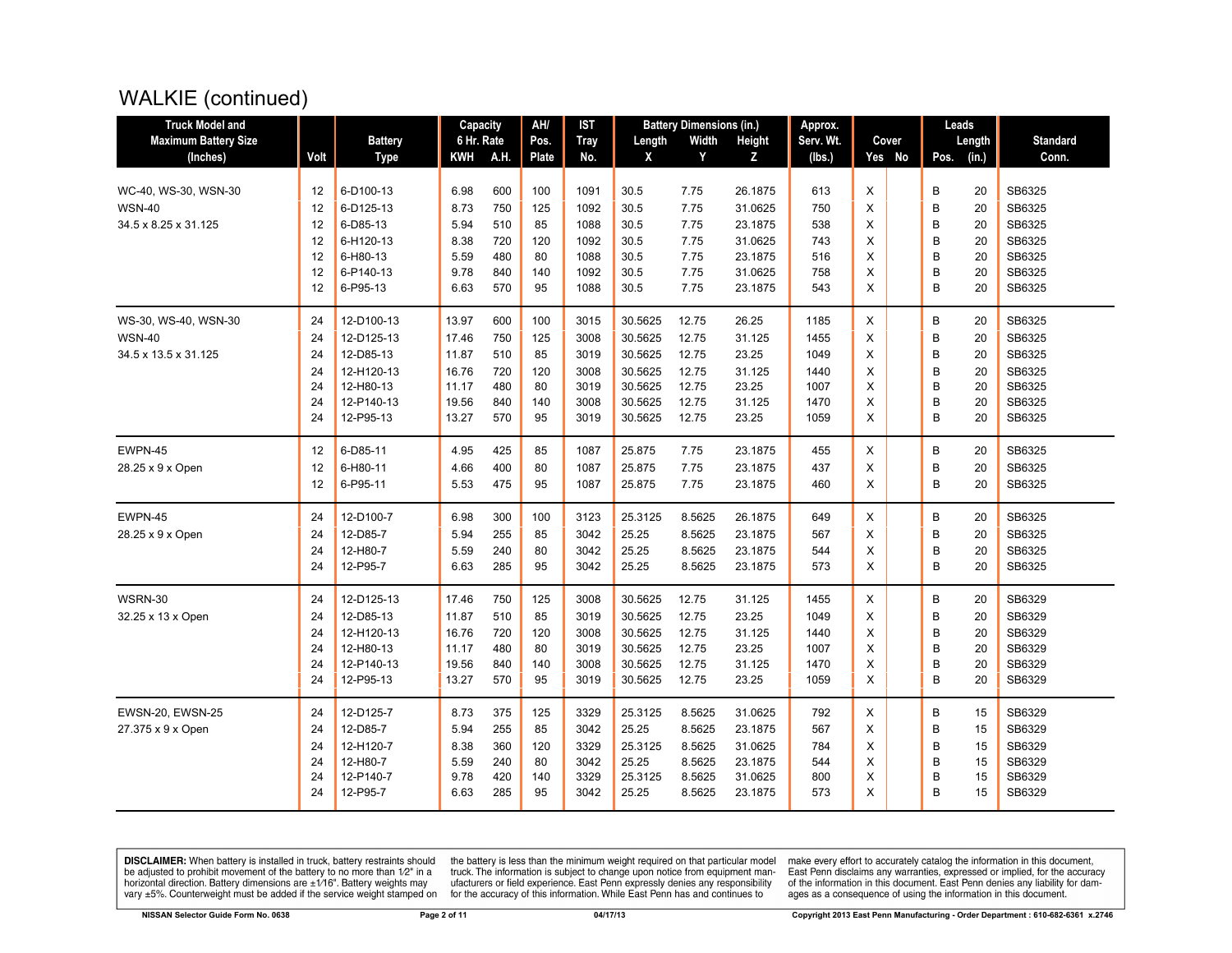#### WALKIE (continued)

| <b>Truck Model and</b>      |      |                | Capacity   |      | AH/   | <b>IST</b>  |         | <b>Battery Dimensions (in.)</b> |         | Approx.   |        |      | Leads  |                 |
|-----------------------------|------|----------------|------------|------|-------|-------------|---------|---------------------------------|---------|-----------|--------|------|--------|-----------------|
| <b>Maximum Battery Size</b> |      | <b>Battery</b> | 6 Hr. Rate |      | Pos.  | <b>Tray</b> | Length  | Width                           | Height  | Serv. Wt. | Cover  |      | Length | <b>Standard</b> |
| (Inches)                    | Volt | <b>Type</b>    | KWH        | A.H. | Plate | No.         | X       | Y                               | z       | (lbs.)    | Yes No | Pos. | (in.)  | Conn.           |
|                             |      |                |            |      |       |             |         |                                 |         |           |        |      |        |                 |
| WC-40, WS-30, WSN-30        | 12   | 6-D100-13      | 6.98       | 600  | 100   | 1091        | 30.5    | 7.75                            | 26.1875 | 613       | X      | B    | 20     | SB6325          |
| <b>WSN-40</b>               | 12   | 6-D125-13      | 8.73       | 750  | 125   | 1092        | 30.5    | 7.75                            | 31.0625 | 750       | X      | B    | 20     | SB6325          |
| 34.5 x 8.25 x 31.125        | 12   | 6-D85-13       | 5.94       | 510  | 85    | 1088        | 30.5    | 7.75                            | 23.1875 | 538       | X      | B    | 20     | SB6325          |
|                             | 12   | 6-H120-13      | 8.38       | 720  | 120   | 1092        | 30.5    | 7.75                            | 31.0625 | 743       | X      | B    | 20     | SB6325          |
|                             | 12   | 6-H80-13       | 5.59       | 480  | 80    | 1088        | 30.5    | 7.75                            | 23.1875 | 516       | X      | B    | 20     | SB6325          |
|                             | 12   | 6-P140-13      | 9.78       | 840  | 140   | 1092        | 30.5    | 7.75                            | 31.0625 | 758       | X      | B    | 20     | SB6325          |
|                             | 12   | 6-P95-13       | 6.63       | 570  | 95    | 1088        | 30.5    | 7.75                            | 23.1875 | 543       | X      | B    | 20     | SB6325          |
| WS-30, WS-40, WSN-30        | 24   | 12-D100-13     | 13.97      | 600  | 100   | 3015        | 30.5625 | 12.75                           | 26.25   | 1185      | X      | B    | 20     | SB6325          |
| <b>WSN-40</b>               | 24   | 12-D125-13     | 17.46      | 750  | 125   | 3008        | 30.5625 | 12.75                           | 31.125  | 1455      | X      | B    | 20     | SB6325          |
| 34.5 x 13.5 x 31.125        | 24   | 12-D85-13      | 11.87      | 510  | 85    | 3019        | 30.5625 | 12.75                           | 23.25   | 1049      | X      | B    | 20     | SB6325          |
|                             | 24   | 12-H120-13     | 16.76      | 720  | 120   | 3008        | 30.5625 | 12.75                           | 31.125  | 1440      | X      | B    | 20     | SB6325          |
|                             | 24   | 12-H80-13      | 11.17      | 480  | 80    | 3019        | 30.5625 | 12.75                           | 23.25   | 1007      | X      | B    | 20     | SB6325          |
|                             | 24   | 12-P140-13     | 19.56      | 840  | 140   | 3008        | 30.5625 | 12.75                           | 31.125  | 1470      | X      | B    | 20     | SB6325          |
|                             | 24   | 12-P95-13      | 13.27      | 570  | 95    | 3019        | 30.5625 | 12.75                           | 23.25   | 1059      | X      | B    | 20     | SB6325          |
| EWPN-45                     | 12   | 6-D85-11       | 4.95       | 425  | 85    | 1087        | 25.875  | 7.75                            | 23.1875 | 455       | X      | B    | 20     | SB6325          |
| 28.25 x 9 x Open            | 12   | 6-H80-11       | 4.66       | 400  | 80    | 1087        | 25.875  | 7.75                            | 23.1875 | 437       | X      | B    | 20     | SB6325          |
|                             | 12   | 6-P95-11       | 5.53       | 475  | 95    | 1087        | 25.875  | 7.75                            | 23.1875 | 460       | X      | B    | 20     | SB6325          |
| EWPN-45                     | 24   | 12-D100-7      | 6.98       | 300  | 100   | 3123        | 25.3125 | 8.5625                          | 26.1875 | 649       | X      | B    | 20     | SB6325          |
| 28.25 x 9 x Open            | 24   | 12-D85-7       | 5.94       | 255  | 85    | 3042        | 25.25   | 8.5625                          | 23.1875 | 567       | X      | B    | 20     | SB6325          |
|                             | 24   | 12-H80-7       | 5.59       | 240  | 80    | 3042        | 25.25   | 8.5625                          | 23.1875 | 544       | X      | B    | 20     | SB6325          |
|                             | 24   | 12-P95-7       | 6.63       | 285  | 95    | 3042        | 25.25   | 8.5625                          | 23.1875 | 573       | X      | B    | 20     | SB6325          |
| WSRN-30                     | 24   | 12-D125-13     | 17.46      | 750  | 125   | 3008        | 30.5625 | 12.75                           | 31.125  | 1455      | X      | B    | 20     | SB6329          |
| 32.25 x 13 x Open           | 24   | 12-D85-13      | 11.87      | 510  | 85    | 3019        | 30.5625 | 12.75                           | 23.25   | 1049      | X      | B    | 20     | SB6329          |
|                             | 24   | 12-H120-13     | 16.76      | 720  | 120   | 3008        | 30.5625 | 12.75                           | 31.125  | 1440      | X      | B    | 20     | SB6329          |
|                             | 24   | 12-H80-13      | 11.17      | 480  | 80    | 3019        | 30.5625 | 12.75                           | 23.25   | 1007      | X      | B    | 20     | SB6329          |
|                             | 24   | 12-P140-13     | 19.56      | 840  | 140   | 3008        | 30.5625 | 12.75                           | 31.125  | 1470      | X      | B    | 20     | SB6329          |
|                             | 24   | 12-P95-13      | 13.27      | 570  | 95    | 3019        | 30.5625 | 12.75                           | 23.25   | 1059      | X      | B    | 20     | SB6329          |
| EWSN-20, EWSN-25            | 24   | 12-D125-7      | 8.73       | 375  | 125   | 3329        | 25.3125 | 8.5625                          | 31.0625 | 792       | X      | B    | 15     | SB6329          |
| 27.375 x 9 x Open           | 24   | 12-D85-7       | 5.94       | 255  | 85    | 3042        | 25.25   | 8.5625                          | 23.1875 | 567       | X      | B    | 15     | SB6329          |
|                             | 24   | 12-H120-7      | 8.38       | 360  | 120   | 3329        | 25.3125 | 8.5625                          | 31.0625 | 784       | X      | B    | 15     | SB6329          |
|                             | 24   | 12-H80-7       | 5.59       | 240  | 80    | 3042        | 25.25   | 8.5625                          | 23.1875 | 544       | X      | B    | 15     | SB6329          |
|                             | 24   | 12-P140-7      | 9.78       | 420  | 140   | 3329        | 25.3125 | 8.5625                          | 31.0625 | 800       | X      | B    | 15     | SB6329          |
|                             | 24   | 12-P95-7       | 6.63       | 285  | 95    | 3042        | 25.25   | 8.5625                          | 23.1875 | 573       | X      | B    | 15     | SB6329          |

**DISCLAIMER:** When battery is installed in truck, battery restraints should be adjusted to prohibit movement of the battery to no more than  $12^v$  in a horizontal direction. Battery dimensions are  $\pm 1/16^v$ . Battery wei

the battery is less than the minimum weight required on that particular model<br>truck. The information is subject to change upon notice from equipment man-<br>ufacturers or field experience. East Penn expressly denies any respo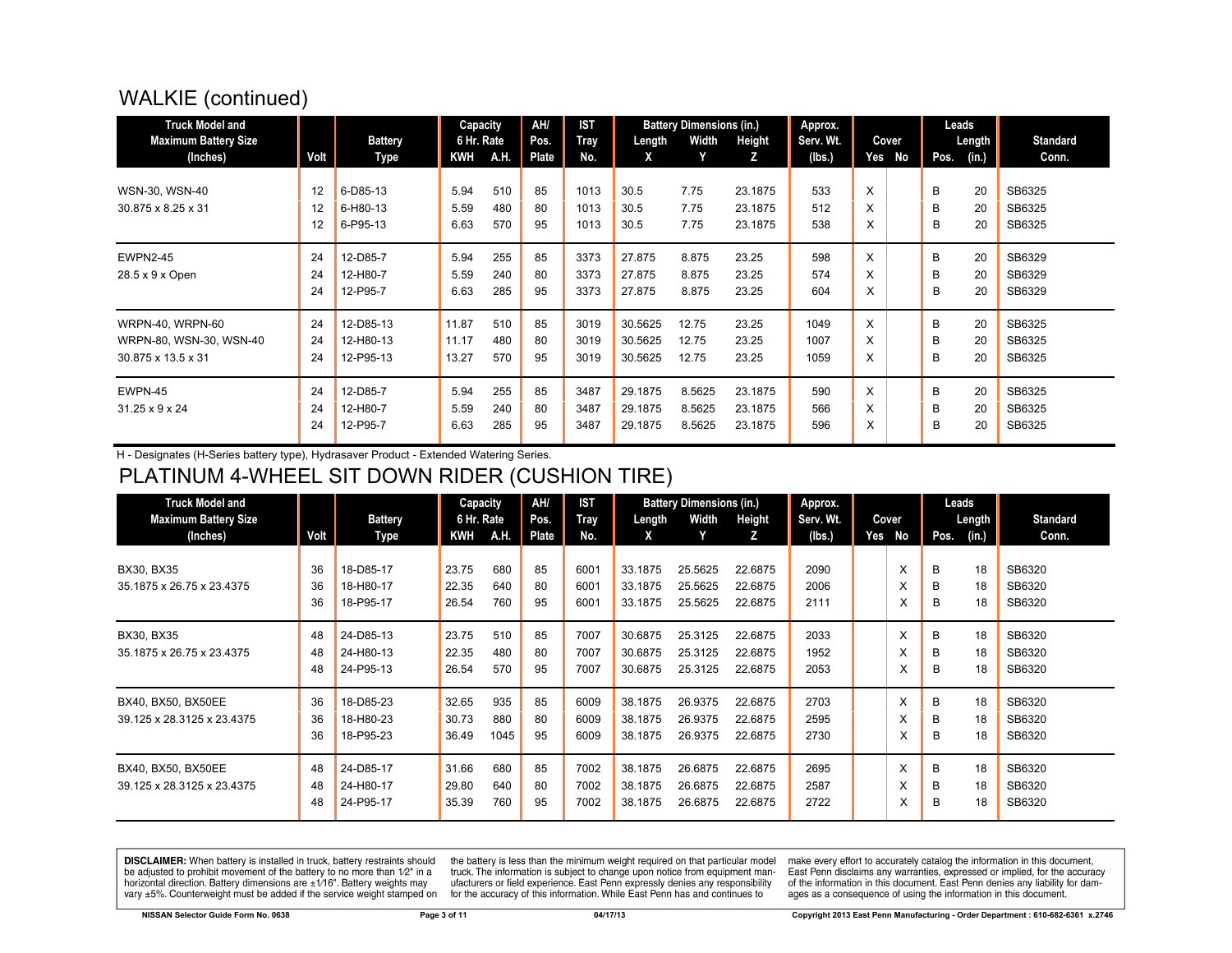### WALKIE (continued)

| <b>Truck Model and</b><br><b>Maximum Battery Size</b>                    |                | <b>Battery</b>                      | Capacity<br>6 Hr. Rate  |                   | AH/<br>Pos.    | <b>IST</b><br><b>Tray</b> | Length                        | <b>Battery Dimensions (in.)</b><br>Width | Height                        | Approx.<br>Serv. Wt. |             | Cover |             | Leads<br>Length | <b>Standard</b>            |
|--------------------------------------------------------------------------|----------------|-------------------------------------|-------------------------|-------------------|----------------|---------------------------|-------------------------------|------------------------------------------|-------------------------------|----------------------|-------------|-------|-------------|-----------------|----------------------------|
| (Inches)                                                                 | Volt           | Type                                | <b>KWH</b>              | A.H.              | <b>Plate</b>   | No.                       | X                             | Y                                        | z                             | (lbs.)               | Yes         | No    | Pos.        | (in.)           | Conn.                      |
| WSN-30, WSN-40<br>30.875 x 8.25 x 31                                     | 12<br>12<br>12 | 6-D85-13<br>6-H80-13<br>6-P95-13    | 5.94<br>5.59<br>6.63    | 510<br>480<br>570 | 85<br>80<br>95 | 1013<br>1013<br>1013      | 30.5<br>30.5<br>30.5          | 7.75<br>7.75<br>7.75                     | 23.1875<br>23.1875<br>23.1875 | 533<br>512<br>538    | X<br>X<br>X |       | B<br>B<br>B | 20<br>20<br>20  | SB6325<br>SB6325<br>SB6325 |
| <b>EWPN2-45</b><br>28.5 x 9 x Open                                       | 24<br>24<br>24 | 12-D85-7<br>12-H80-7<br>12-P95-7    | 5.94<br>5.59<br>6.63    | 255<br>240<br>285 | 85<br>80<br>95 | 3373<br>3373<br>3373      | 27.875<br>27.875<br>27.875    | 8.875<br>8.875<br>8.875                  | 23.25<br>23.25<br>23.25       | 598<br>574<br>604    | X<br>X<br>X |       | B<br>B<br>B | 20<br>20<br>20  | SB6329<br>SB6329<br>SB6329 |
| <b>WRPN-40, WRPN-60</b><br>WRPN-80, WSN-30, WSN-40<br>30.875 x 13.5 x 31 | 24<br>24<br>24 | 12-D85-13<br>12-H80-13<br>12-P95-13 | 11.87<br>11.17<br>13.27 | 510<br>480<br>570 | 85<br>80<br>95 | 3019<br>3019<br>3019      | 30.5625<br>30.5625<br>30.5625 | 12.75<br>12.75<br>12.75                  | 23.25<br>23.25<br>23.25       | 1049<br>1007<br>1059 | X<br>X<br>X |       | B<br>B<br>B | 20<br>20<br>20  | SB6325<br>SB6325<br>SB6325 |
| EWPN-45<br>$31.25 \times 9 \times 24$                                    | 24<br>24<br>24 | 12-D85-7<br>12-H80-7<br>12-P95-7    | 5.94<br>5.59<br>6.63    | 255<br>240<br>285 | 85<br>80<br>95 | 3487<br>3487<br>3487      | 29.1875<br>29.1875<br>29.1875 | 8.5625<br>8.5625<br>8.5625               | 23.1875<br>23.1875<br>23.1875 | 590<br>566<br>596    | X<br>X<br>X |       | B<br>B<br>B | 20<br>20<br>20  | SB6325<br>SB6325<br>SB6325 |

H - Designates (H-Series battery type), Hydrasaver Product - Extended Watering Series.

### PLATINUM 4-WHEEL SIT DOWN RIDER (CUSHION TIRE)

| <b>Truck Model and</b><br><b>Maximum Battery Size</b> |                | <b>Battery</b>                      | Capacity<br>6 Hr. Rate  |                    | AH/<br>Pos.    | <b>IST</b><br><b>Tray</b> | Length                        | <b>Battery Dimensions (in.)</b><br>Width | Height                        | Approx.<br>Serv. Wt. |     | Cover       |             | Leads<br>Length | Standard                   |
|-------------------------------------------------------|----------------|-------------------------------------|-------------------------|--------------------|----------------|---------------------------|-------------------------------|------------------------------------------|-------------------------------|----------------------|-----|-------------|-------------|-----------------|----------------------------|
| (Inches)                                              | Volt           | Type                                | <b>KWH</b>              | A.H.               | Plate          | No.                       | X                             |                                          | z                             | (Ibs.)               | Yes | No          | Pos.        | (in.)           | Conn.                      |
| BX30, BX35<br>35.1875 x 26.75 x 23.4375               | 36<br>36<br>36 | 18-D85-17<br>18-H80-17<br>18-P95-17 | 23.75<br>22.35<br>26.54 | 680<br>640<br>760  | 85<br>80<br>95 | 6001<br>6001<br>6001      | 33.1875<br>33.1875<br>33.1875 | 25.5625<br>25.5625<br>25.5625            | 22.6875<br>22.6875<br>22.6875 | 2090<br>2006<br>2111 |     | X<br>X<br>X | B<br>B<br>B | 18<br>18<br>18  | SB6320<br>SB6320<br>SB6320 |
| BX30, BX35<br>35.1875 x 26.75 x 23.4375               | 48<br>48<br>48 | 24-D85-13<br>24-H80-13<br>24-P95-13 | 23.75<br>22.35<br>26.54 | 510<br>480<br>570  | 85<br>80<br>95 | 7007<br>7007<br>7007      | 30.6875<br>30.6875<br>30.6875 | 25.3125<br>25.3125<br>25.3125            | 22.6875<br>22.6875<br>22.6875 | 2033<br>1952<br>2053 |     | X<br>X<br>X | B<br>B<br>B | 18<br>18<br>18  | SB6320<br>SB6320<br>SB6320 |
| BX40, BX50, BX50EE<br>39.125 x 28.3125 x 23.4375      | 36<br>36<br>36 | 18-D85-23<br>18-H80-23<br>18-P95-23 | 32.65<br>30.73<br>36.49 | 935<br>880<br>1045 | 85<br>80<br>95 | 6009<br>6009<br>6009      | 38.1875<br>38.1875<br>38.1875 | 26.9375<br>26.9375<br>26.9375            | 22.6875<br>22.6875<br>22.6875 | 2703<br>2595<br>2730 |     | X<br>X<br>X | B<br>B<br>в | 18<br>18<br>18  | SB6320<br>SB6320<br>SB6320 |
| BX40, BX50, BX50EE<br>39.125 x 28.3125 x 23.4375      | 48<br>48<br>48 | 24-D85-17<br>24-H80-17<br>24-P95-17 | 31.66<br>29.80<br>35.39 | 680<br>640<br>760  | 85<br>80<br>95 | 7002<br>7002<br>7002      | 38.1875<br>38.1875<br>38.1875 | 26.6875<br>26.6875<br>26.6875            | 22.6875<br>22.6875<br>22.6875 | 2695<br>2587<br>2722 |     | X<br>X<br>X | B<br>B<br>в | 18<br>18<br>18  | SB6320<br>SB6320<br>SB6320 |

DISCLAIMER: When battery is installed in truck, battery restraints should be adjusted to prohibit movement of the battery to no more than 1/2" in a horizontal direction. Battery dimensions are ±1/16". Battery weights may vary ±5%. Counterweight must be added if the service weight stamped on

the battery is less than the minimum weight required on that particular model truck. The information is subject to change upon notice from equipment manufacturers or field experience. East Penn expressly denies any responsibility for the accuracy of this information. While East Penn has and continues to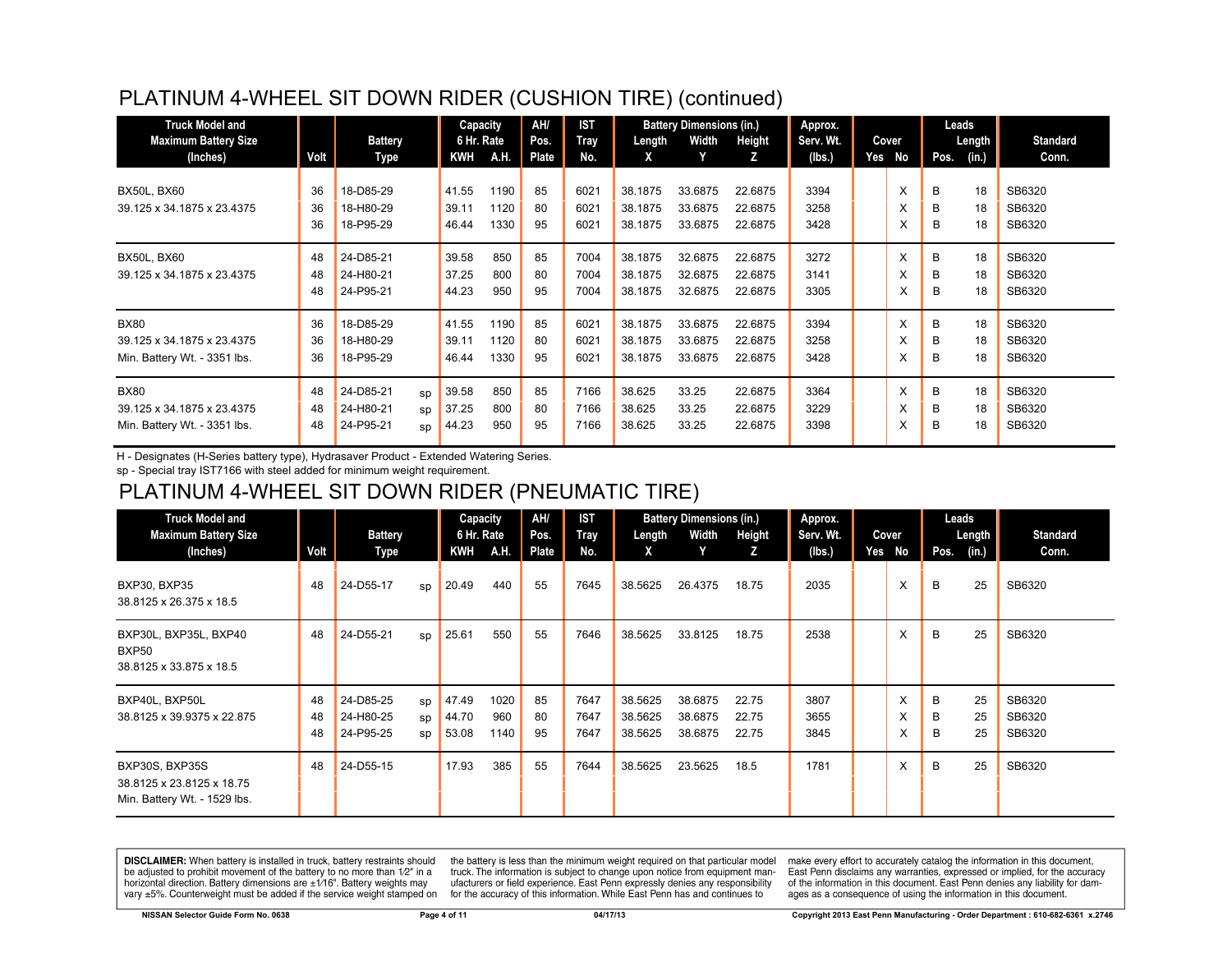#### PLATINUM 4-WHEEL SIT DOWN RIDER (CUSHION TIRE) (continued)

| <b>Truck Model and</b><br><b>Maximum Battery Size</b>                     |                | <b>Battery</b>                      |                | Capacity<br>6 Hr. Rate  |                      | AH/<br>Pos.    | <b>IST</b><br><b>Tray</b> | Length                        | <b>Battery Dimensions (in.)</b><br>Width | Height                        | Approx.<br>Serv. Wt. | Cover       |             | Leads<br>Length | <b>Standard</b>            |
|---------------------------------------------------------------------------|----------------|-------------------------------------|----------------|-------------------------|----------------------|----------------|---------------------------|-------------------------------|------------------------------------------|-------------------------------|----------------------|-------------|-------------|-----------------|----------------------------|
| (Inches)                                                                  | Volt           | Type                                |                | KWH                     | A.H.                 | Plate          | No.                       | X                             |                                          | z                             | (lbs.)               | Yes No      | Pos.        | (in.)           | Conn.                      |
| <b>BX50L, BX60</b><br>39.125 x 34.1875 x 23.4375                          | 36<br>36<br>36 | 18-D85-29<br>18-H80-29<br>18-P95-29 |                | 41.55<br>39.11<br>46.44 | 1190<br>1120<br>1330 | 85<br>80<br>95 | 6021<br>6021<br>6021      | 38.1875<br>38.1875<br>38.1875 | 33.6875<br>33.6875<br>33.6875            | 22.6875<br>22.6875<br>22.6875 | 3394<br>3258<br>3428 | X<br>X<br>X | B<br>B<br>B | 18<br>18<br>18  | SB6320<br>SB6320<br>SB6320 |
| <b>BX50L, BX60</b><br>39.125 x 34.1875 x 23.4375                          | 48<br>48<br>48 | 24-D85-21<br>24-H80-21<br>24-P95-21 |                | 39.58<br>37.25<br>44.23 | 850<br>800<br>950    | 85<br>80<br>95 | 7004<br>7004<br>7004      | 38.1875<br>38.1875<br>38.1875 | 32.6875<br>32.6875<br>32.6875            | 22.6875<br>22.6875<br>22.6875 | 3272<br>3141<br>3305 | X<br>X<br>X | B<br>В<br>B | 18<br>18<br>18  | SB6320<br>SB6320<br>SB6320 |
| <b>BX80</b><br>39.125 x 34.1875 x 23.4375<br>Min. Battery Wt. - 3351 lbs. | 36<br>36<br>36 | 18-D85-29<br>18-H80-29<br>18-P95-29 |                | 41.55<br>39.11<br>46.44 | 1190<br>1120<br>1330 | 85<br>80<br>95 | 6021<br>6021<br>6021      | 38.1875<br>38.1875<br>38.1875 | 33.6875<br>33.6875<br>33.6875            | 22.6875<br>22.6875<br>22.6875 | 3394<br>3258<br>3428 | X<br>X<br>X | B<br>B<br>B | 18<br>18<br>18  | SB6320<br>SB6320<br>SB6320 |
| <b>BX80</b><br>39.125 x 34.1875 x 23.4375<br>Min. Battery Wt. - 3351 lbs. | 48<br>48<br>48 | 24-D85-21<br>24-H80-21<br>24-P95-21 | SD<br>SD<br>sp | 39.58<br>37.25<br>44.23 | 850<br>800<br>950    | 85<br>80<br>95 | 7166<br>7166<br>7166      | 38.625<br>38.625<br>38.625    | 33.25<br>33.25<br>33.25                  | 22.6875<br>22.6875<br>22.6875 | 3364<br>3229<br>3398 | X<br>X<br>X | B<br>B<br>B | 18<br>18<br>18  | SB6320<br>SB6320<br>SB6320 |

H - Designates (H-Series battery type), Hydrasaver Product - Extended Watering Series.

sp - Special tray IST7166 with steel added for minimum weight requirement.

#### PLATINUM 4-WHEEL SIT DOWN RIDER (PNEUMATIC TIRE)

| <b>Truck Model and</b><br><b>Maximum Battery Size</b>                       |                | <b>Battery</b>                      |                | Capacity<br>6 Hr. Rate  |                     | AH/<br>Pos.    | <b>IST</b><br>Tray   | Length                        | <b>Battery Dimensions (in.)</b><br>Width | Height                  | Approx.<br>Serv. Wt. |     | Cover       | Leads       | Length         | <b>Standard</b>            |
|-----------------------------------------------------------------------------|----------------|-------------------------------------|----------------|-------------------------|---------------------|----------------|----------------------|-------------------------------|------------------------------------------|-------------------------|----------------------|-----|-------------|-------------|----------------|----------------------------|
| (Inches)                                                                    | Volt           | Type                                |                | KWH                     | A.H.                | Plate          | No.                  | X                             | Υ                                        | z                       | (Ibs.)               | Yes | No          | Pos.        | (in.)          | Conn.                      |
| <b>BXP30, BXP35</b><br>38.8125 x 26.375 x 18.5                              | 48             | 24-D55-17                           | sp             | 20.49                   | 440                 | 55             | 7645                 | 38.5625                       | 26.4375                                  | 18.75                   | 2035                 |     | X           | B           | 25             | SB6320                     |
| BXP30L, BXP35L, BXP40<br><b>BXP50</b><br>38.8125 x 33.875 x 18.5            | 48             | 24-D55-21                           | sp             | 25.61                   | 550                 | 55             | 7646                 | 38.5625                       | 33.8125                                  | 18.75                   | 2538                 |     | X           | B           | 25             | SB6320                     |
| BXP40L, BXP50L<br>38.8125 x 39.9375 x 22.875                                | 48<br>48<br>48 | 24-D85-25<br>24-H80-25<br>24-P95-25 | sp<br>SD<br>sp | 47.49<br>44.70<br>53.08 | 1020<br>960<br>1140 | 85<br>80<br>95 | 7647<br>7647<br>7647 | 38.5625<br>38.5625<br>38.5625 | 38.6875<br>38.6875<br>38.6875            | 22.75<br>22.75<br>22.75 | 3807<br>3655<br>3845 |     | X<br>X<br>X | B<br>B<br>B | 25<br>25<br>25 | SB6320<br>SB6320<br>SB6320 |
| BXP30S, BXP35S<br>38.8125 x 23.8125 x 18.75<br>Min. Battery Wt. - 1529 lbs. | 48             | 24-D55-15                           |                | 17.93                   | 385                 | 55             | 7644                 | 38.5625                       | 23.5625                                  | 18.5                    | 1781                 |     | X           | B           | 25             | SB6320                     |

DISCLAIMER: When battery is installed in truck, battery restraints should be adjusted to prohibit movement of the battery to no more than 1/2" in a horizontal direction. Battery dimensions are  $\pm 1/16$ ". Battery weights may vary ±5%. Counterweight must be added if the service weight stamped on

the battery is less than the minimum weight required on that particular model truck. The information is subject to change upon notice from equipment manufacturers or field experience. East Penn expressly denies any responsibility for the accuracy of this information. While East Penn has and continues to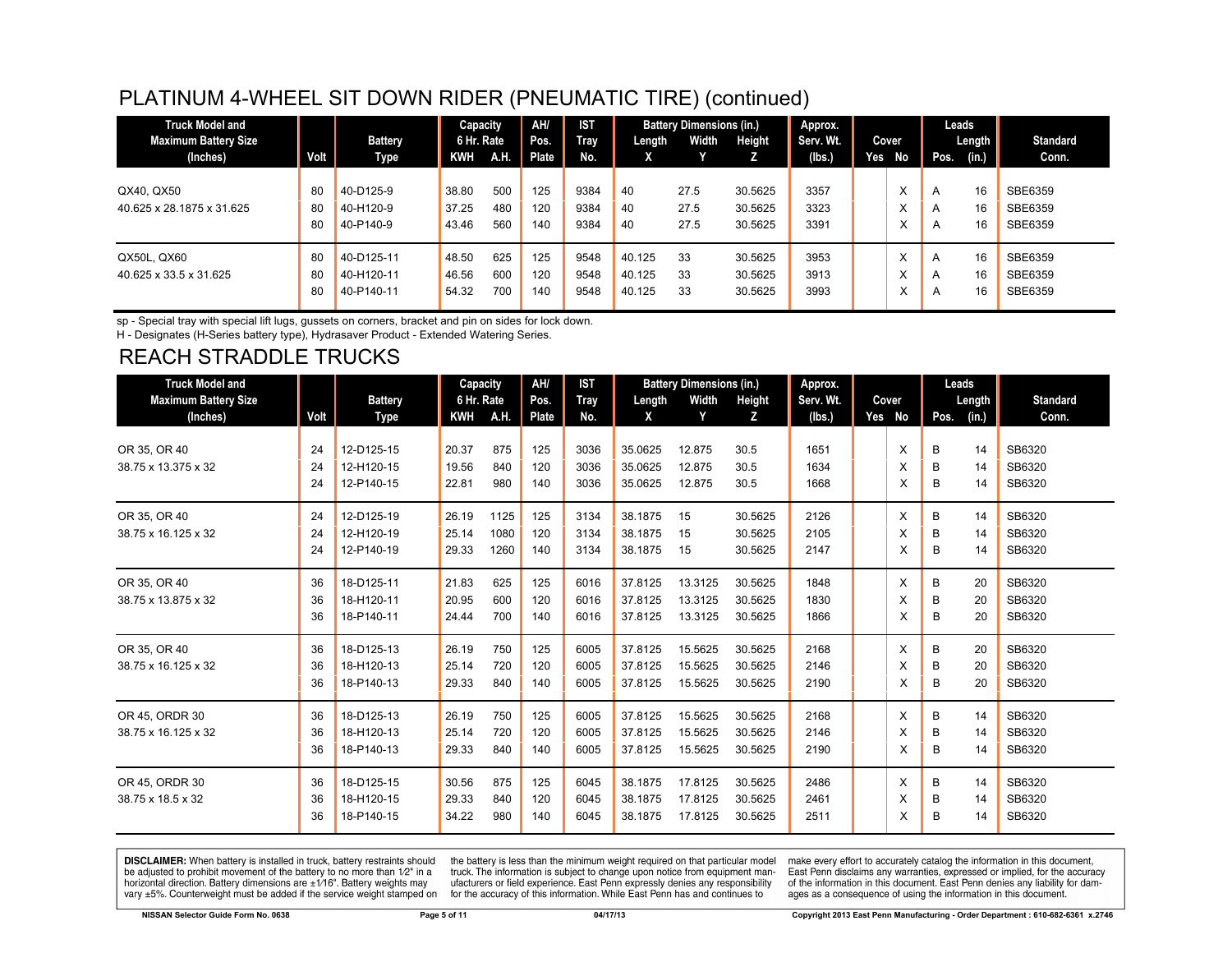#### PLATINUM 4-WHEEL SIT DOWN RIDER (PNEUMATIC TIRE) (continued)

| <b>Truck Model and</b>      |      |                | Capacity   |      | AH/   | <b>IST</b>  |        | <b>Battery Dimensions (in.)</b> |         | Approx.   |        |           |              | Leads  |                 |
|-----------------------------|------|----------------|------------|------|-------|-------------|--------|---------------------------------|---------|-----------|--------|-----------|--------------|--------|-----------------|
| <b>Maximum Battery Size</b> |      | <b>Battery</b> | 6 Hr. Rate |      | Pos.  | <b>Tray</b> | Length | <b>Width</b>                    | Height  | Serv. Wt. | Cover  |           |              | Length | <b>Standard</b> |
| (Inches)                    | Volt | Type           | KWH        | A.H. | Plate | No.         | X      |                                 |         | (lbs.)    | Yes No |           | Pos.         | (in.)  | Conn.           |
| QX40, QX50                  | 80   | 40-D125-9      | 38.80      | 500  | 125   | 9384        | 40     | 27.5                            | 30.5625 | 3357      |        | ᄉ         | A            | 16     | SBE6359         |
| 40.625 x 28.1875 x 31.625   | 80   | 40-H120-9      | 37.25      | 480  | 120   | 9384        | 40     | 27.5                            | 30.5625 | 3323      |        | $\lambda$ | A            | 16     | SBE6359         |
|                             | 80   | 40-P140-9      | 43.46      | 560  | 140   | 9384        | 40     | 27.5                            | 30.5625 | 3391      |        | $\lambda$ | A            | 16     | SBE6359         |
| QX50L, QX60                 | 80   | 40-D125-11     | 48.50      | 625  | 125   | 9548        | 40.125 | 33                              | 30.5625 | 3953      |        | $\lambda$ | $\mathsf{A}$ | 16     | SBE6359         |
| 40.625 x 33.5 x 31.625      | 80   | 40-H120-11     | 46.56      | 600  | 120   | 9548        | 40.125 | 33                              | 30.5625 | 3913      |        | ㅅ         | A            | 16     | SBE6359         |
|                             | 80   | 40-P140-11     | 54.32      | 700  | 140   | 9548        | 40.125 | 33                              | 30.5625 | 3993      |        | ⋏         | A            | 16     | SBE6359         |

sp - Special tray with special lift lugs, gussets on corners, bracket and pin on sides for lock down.

H - Designates (H-Series battery type), Hydrasaver Product - Extended Watering Series.

## REACH STRADDLE TRUCKS

| <b>Truck Model and</b>      |      |                | Capacity   |      | AH/   | <b>IST</b> |         | <b>Battery Dimensions (in.)</b> |         | Approx.   |        |      | Leads  |                 |
|-----------------------------|------|----------------|------------|------|-------|------------|---------|---------------------------------|---------|-----------|--------|------|--------|-----------------|
| <b>Maximum Battery Size</b> |      | <b>Battery</b> | 6 Hr. Rate |      | Pos.  | Tray       | Length  | Width                           | Height  | Serv. Wt. | Cover  |      | Length | <b>Standard</b> |
| (Inches)                    | Volt | Type           | KWH        | A.H. | Plate | No.        | X       | Y                               | z       | (Ibs.)    | Yes No | Pos. | (in.)  | Conn.           |
| OR 35, OR 40                | 24   | 12-D125-15     | 20.37      | 875  | 125   | 3036       | 35.0625 | 12.875                          | 30.5    | 1651      | X      | В    | 14     | SB6320          |
| 38.75 x 13.375 x 32         | 24   | 12-H120-15     | 19.56      | 840  | 120   | 3036       | 35.0625 | 12.875                          | 30.5    | 1634      | X      | B    | 14     | SB6320          |
|                             | 24   | 12-P140-15     | 22.81      | 980  | 140   | 3036       | 35.0625 | 12.875                          | 30.5    | 1668      | X      | B    | 14     | SB6320          |
| OR 35, OR 40                | 24   | 12-D125-19     | 26.19      | 1125 | 125   | 3134       | 38.1875 | 15                              | 30.5625 | 2126      | X      | B    | 14     | SB6320          |
| 38.75 x 16.125 x 32         | 24   | 12-H120-19     | 25.14      | 1080 | 120   | 3134       | 38.1875 | 15                              | 30.5625 | 2105      | X      | B    | 14     | SB6320          |
|                             | 24   | 12-P140-19     | 29.33      | 1260 | 140   | 3134       | 38.1875 | 15                              | 30.5625 | 2147      | X      | B    | 14     | SB6320          |
| OR 35, OR 40                | 36   | 18-D125-11     | 21.83      | 625  | 125   | 6016       | 37.8125 | 13.3125                         | 30.5625 | 1848      | X      | B    | 20     | SB6320          |
| 38.75 x 13.875 x 32         | 36   | 18-H120-11     | 20.95      | 600  | 120   | 6016       | 37.8125 | 13.3125                         | 30.5625 | 1830      | X      | B    | 20     | SB6320          |
|                             | 36   | 18-P140-11     | 24.44      | 700  | 140   | 6016       | 37.8125 | 13.3125                         | 30.5625 | 1866      | X      | в    | 20     | SB6320          |
| OR 35, OR 40                | 36   | 18-D125-13     | 26.19      | 750  | 125   | 6005       | 37.8125 | 15.5625                         | 30.5625 | 2168      | X      | B    | 20     | SB6320          |
| 38.75 x 16.125 x 32         | 36   | 18-H120-13     | 25.14      | 720  | 120   | 6005       | 37.8125 | 15.5625                         | 30.5625 | 2146      | X      | B    | 20     | SB6320          |
|                             | 36   | 18-P140-13     | 29.33      | 840  | 140   | 6005       | 37.8125 | 15.5625                         | 30.5625 | 2190      | X      | в    | 20     | SB6320          |
| OR 45, ORDR 30              | 36   | 18-D125-13     | 26.19      | 750  | 125   | 6005       | 37.8125 | 15.5625                         | 30.5625 | 2168      | X      | B    | 14     | SB6320          |
| 38.75 x 16.125 x 32         | 36   | 18-H120-13     | 25.14      | 720  | 120   | 6005       | 37.8125 | 15.5625                         | 30.5625 | 2146      | X      | B    | 14     | SB6320          |
|                             | 36   | 18-P140-13     | 29.33      | 840  | 140   | 6005       | 37.8125 | 15.5625                         | 30.5625 | 2190      | X      | B    | 14     | SB6320          |
| OR 45, ORDR 30              | 36   | 18-D125-15     | 30.56      | 875  | 125   | 6045       | 38.1875 | 17.8125                         | 30.5625 | 2486      | X      | B    | 14     | SB6320          |
| 38.75 x 18.5 x 32           | 36   | 18-H120-15     | 29.33      | 840  | 120   | 6045       | 38.1875 | 17.8125                         | 30.5625 | 2461      | X      | B    | 14     | SB6320          |
|                             | 36   | 18-P140-15     | 34.22      | 980  | 140   | 6045       | 38.1875 | 17.8125                         | 30.5625 | 2511      | X      | B    | 14     | SB6320          |

**DISCLAIMER:** When battery is installed in truck, battery restraints should be adjusted to prohibit movement of the battery to no more than 1/2" in a horizontal direction. Battery dimensions are  $\pm 1/16$ ". Battery weights may vary ±5%. Counterweight must be added if the service weight stamped on

the battery is less than the minimum weight required on that particular model<br>truck. The information is subject to change upon notice from equipment manufacturers or field experience. East Penn expressly denies any responsibility for the accuracy of this information. While East Penn has and continues to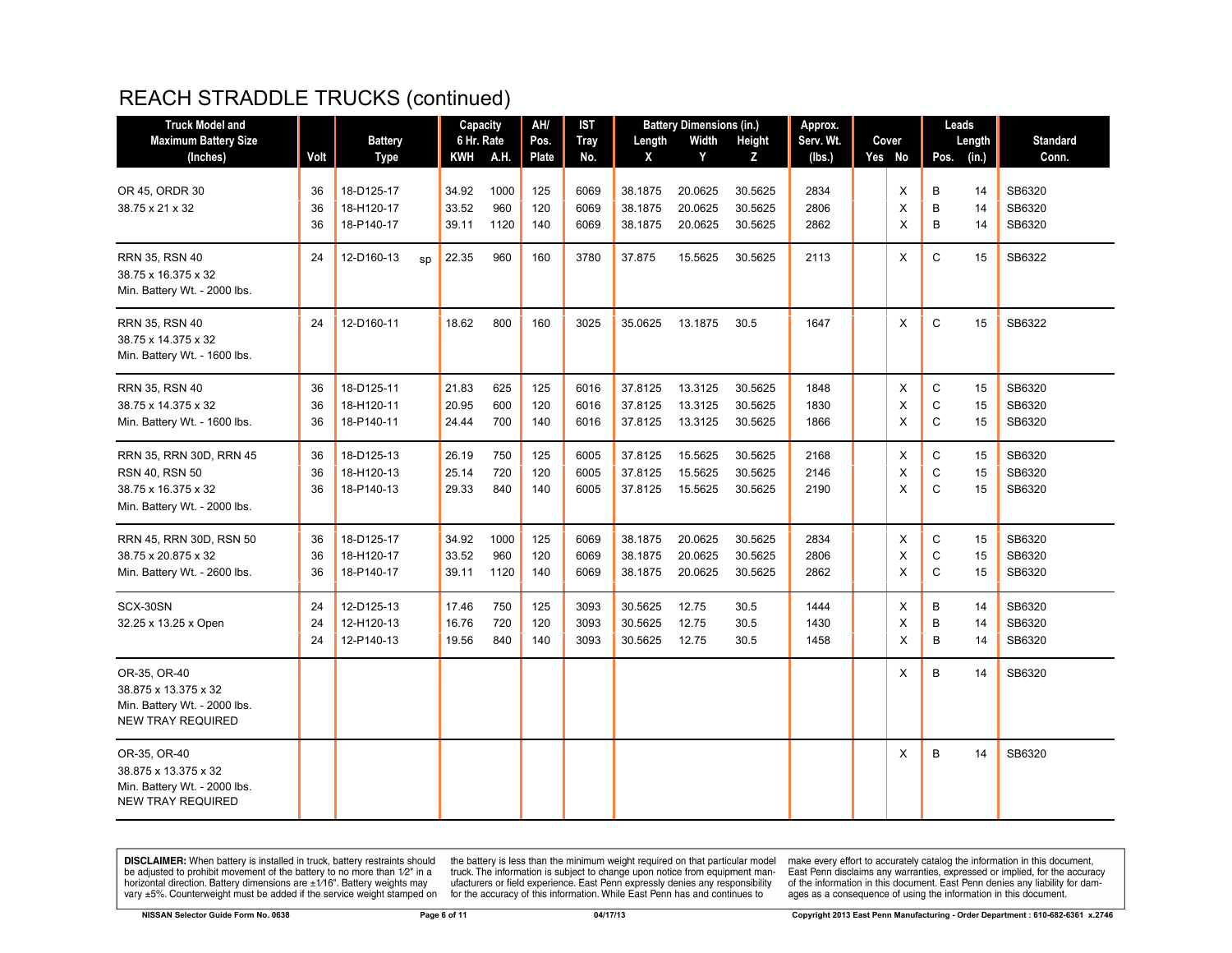#### REACH STRADDLE TRUCKS (continued)

| <b>Truck Model and</b>                                                                           |          |                          |    | Capacity       |             | AH/        | IST          |                    | <b>Battery Dimensions (in.)</b> |                    | Approx.      |        |                              | Leads    |                  |
|--------------------------------------------------------------------------------------------------|----------|--------------------------|----|----------------|-------------|------------|--------------|--------------------|---------------------------------|--------------------|--------------|--------|------------------------------|----------|------------------|
| <b>Maximum Battery Size</b>                                                                      |          | <b>Battery</b>           |    | 6 Hr. Rate     |             | Pos.       | <b>Tray</b>  | Length             | Width                           | Height             | Serv. Wt.    | Cover  |                              | Length   | <b>Standard</b>  |
| (Inches)                                                                                         | Volt     | <b>Type</b>              |    | KWH            | A.H.        | Plate      | No.          | X                  | Y                               | Z                  | (lbs.)       | Yes No | Pos.                         | (in.)    | Conn.            |
| OR 45, ORDR 30<br>38.75 x 21 x 32                                                                | 36<br>36 | 18-D125-17<br>18-H120-17 |    | 34.92<br>33.52 | 1000<br>960 | 125<br>120 | 6069<br>6069 | 38.1875<br>38.1875 | 20.0625<br>20.0625              | 30.5625<br>30.5625 | 2834<br>2806 | X<br>X | В<br>B                       | 14<br>14 | SB6320<br>SB6320 |
|                                                                                                  | 36       | 18-P140-17               |    | 39.11          | 1120        | 140        | 6069         | 38.1875            | 20.0625                         | 30.5625            | 2862         | X      | B                            | 14       | SB6320           |
| RRN 35, RSN 40<br>38.75 x 16.375 x 32<br>Min. Battery Wt. - 2000 lbs.                            | 24       | 12-D160-13               | sp | 22.35          | 960         | 160        | 3780         | 37.875             | 15.5625                         | 30.5625            | 2113         | X      | $\mathsf{C}$                 | 15       | SB6322           |
| RRN 35, RSN 40<br>38.75 x 14.375 x 32<br>Min. Battery Wt. - 1600 lbs.                            | 24       | 12-D160-11               |    | 18.62          | 800         | 160        | 3025         | 35.0625            | 13.1875                         | 30.5               | 1647         | Χ      | $\mathsf{C}$                 | 15       | SB6322           |
| RRN 35, RSN 40                                                                                   | 36       | 18-D125-11               |    | 21.83          | 625         | 125        | 6016         | 37.8125            | 13.3125                         | 30.5625            | 1848         | X      | C                            | 15       | SB6320           |
| 38.75 x 14.375 x 32<br>Min. Battery Wt. - 1600 lbs.                                              | 36<br>36 | 18-H120-11<br>18-P140-11 |    | 20.95<br>24.44 | 600<br>700  | 120<br>140 | 6016<br>6016 | 37.8125<br>37.8125 | 13.3125<br>13.3125              | 30.5625<br>30.5625 | 1830<br>1866 | X<br>X | $\mathsf{C}$<br>$\mathsf{C}$ | 15<br>15 | SB6320<br>SB6320 |
| RRN 35, RRN 30D, RRN 45                                                                          | 36       | 18-D125-13               |    | 26.19          | 750         | 125        | 6005         | 37.8125            | 15.5625                         | 30.5625            | 2168         | X      | C                            | 15       | SB6320           |
| RSN 40, RSN 50<br>38.75 x 16.375 x 32                                                            | 36<br>36 | 18-H120-13<br>18-P140-13 |    | 25.14<br>29.33 | 720<br>840  | 120<br>140 | 6005<br>6005 | 37.8125<br>37.8125 | 15.5625<br>15.5625              | 30.5625<br>30.5625 | 2146<br>2190 | X<br>X | $\mathsf{C}$<br>$\mathsf{C}$ | 15<br>15 | SB6320<br>SB6320 |
| Min. Battery Wt. - 2000 lbs.                                                                     |          |                          |    |                |             |            |              |                    |                                 |                    |              |        |                              |          |                  |
| RRN 45, RRN 30D, RSN 50                                                                          | 36       | 18-D125-17               |    | 34.92          | 1000        | 125        | 6069         | 38.1875            | 20.0625                         | 30.5625            | 2834         | X      | $\mathsf{C}$                 | 15       | SB6320           |
| 38.75 x 20.875 x 32                                                                              | 36       | 18-H120-17               |    | 33.52          | 960         | 120        | 6069         | 38.1875            | 20.0625                         | 30.5625            | 2806         | X      | $\mathsf{C}$<br>$\mathsf{C}$ | 15       | SB6320           |
| Min. Battery Wt. - 2600 lbs.                                                                     | 36       | 18-P140-17               |    | 39.11          | 1120        | 140        | 6069         | 38.1875            | 20.0625                         | 30.5625            | 2862         | X      |                              | 15       | SB6320           |
| SCX-30SN                                                                                         | 24       | 12-D125-13               |    | 17.46          | 750         | 125        | 3093         | 30.5625            | 12.75                           | 30.5               | 1444         | X      | B                            | 14       | SB6320           |
| 32.25 x 13.25 x Open                                                                             | 24<br>24 | 12-H120-13<br>12-P140-13 |    | 16.76<br>19.56 | 720<br>840  | 120<br>140 | 3093<br>3093 | 30.5625<br>30.5625 | 12.75<br>12.75                  | 30.5<br>30.5       | 1430<br>1458 | X<br>X | B<br>B                       | 14<br>14 | SB6320<br>SB6320 |
| OR-35, OR-40<br>38.875 x 13.375 x 32<br>Min. Battery Wt. - 2000 lbs.<br><b>NEW TRAY REQUIRED</b> |          |                          |    |                |             |            |              |                    |                                 |                    |              | X      | B                            | 14       | SB6320           |
| OR-35, OR-40<br>38.875 x 13.375 x 32<br>Min. Battery Wt. - 2000 lbs.<br><b>NEW TRAY REQUIRED</b> |          |                          |    |                |             |            |              |                    |                                 |                    |              | X      | B                            | 14       | SB6320           |

**DISCLAIMER:** When battery is installed in truck, battery restraints should be adjusted to prohibit movement of the battery to no more than  $1/2$ " in a horizontal direction. Battery dimensions are  $\pm 1/16$ ". Battery weig

the battery is less than the minimum weight required on that particular model<br>truck. The information is subject to change upon notice from equipment man-<br>ufacturers or field experience. East Penn expressly denies any respo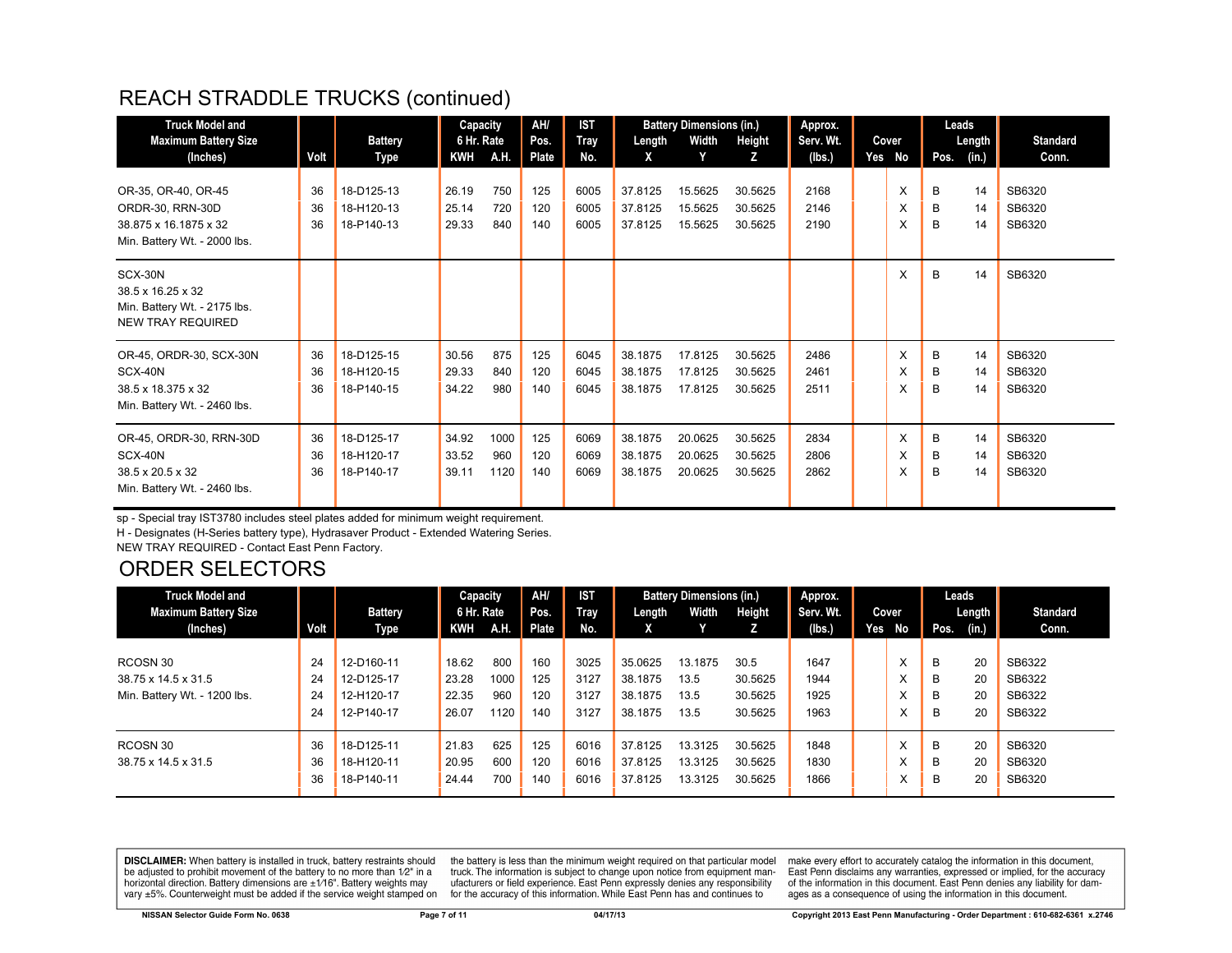#### REACH STRADDLE TRUCKS (continued)

| <b>Truck Model and</b><br><b>Maximum Battery Size</b><br>(Inches)                        | Volt           | <b>Battery</b><br>Type                 | Capacity<br>6 Hr. Rate<br><b>KWH</b> | A.H.                | AH/<br>Pos.<br><b>Plate</b> | <b>IST</b><br>Tray<br>No. | Length<br>X                   | <b>Battery Dimensions (in.)</b><br>Width<br>Y | Height<br>Z                   | Approx.<br>Serv. Wt.<br>(Ibs.) | Cover<br>Yes No | Pos.        | Leads<br>Length<br>(in.) | <b>Standard</b><br>Conn.   |
|------------------------------------------------------------------------------------------|----------------|----------------------------------------|--------------------------------------|---------------------|-----------------------------|---------------------------|-------------------------------|-----------------------------------------------|-------------------------------|--------------------------------|-----------------|-------------|--------------------------|----------------------------|
| OR-35, OR-40, OR-45                                                                      | 36             | 18-D125-13                             | 26.19                                | 750                 | 125                         | 6005                      | 37.8125                       | 15.5625                                       | 30.5625                       | 2168                           | X               | B           | 14                       | SB6320                     |
| ORDR-30, RRN-30D<br>38.875 x 16.1875 x 32<br>Min. Battery Wt. - 2000 lbs.                | 36<br>36       | 18-H120-13<br>18-P140-13               | 25.14<br>29.33                       | 720<br>840          | 120<br>140                  | 6005<br>6005              | 37.8125<br>37.8125            | 15.5625<br>15.5625                            | 30.5625<br>30.5625            | 2146<br>2190                   | X<br>X          | B<br>B      | 14<br>14                 | SB6320<br>SB6320           |
| SCX-30N<br>38.5 x 16.25 x 32<br>Min. Battery Wt. - 2175 lbs.<br><b>NEW TRAY REQUIRED</b> |                |                                        |                                      |                     |                             |                           |                               |                                               |                               |                                | X               | B           | 14                       | SB6320                     |
| OR-45, ORDR-30, SCX-30N<br>SCX-40N                                                       | 36<br>36       | 18-D125-15<br>18-H120-15               | 30.56<br>29.33                       | 875<br>840          | 125<br>120                  | 6045                      | 38.1875<br>38.1875            | 17.8125<br>17.8125                            | 30.5625                       | 2486<br>2461                   | X               | B<br>B      | 14                       | SB6320<br>SB6320           |
| 38.5 x 18.375 x 32<br>Min. Battery Wt. - 2460 lbs.                                       | 36             | 18-P140-15                             | 34.22                                | 980                 | 140                         | 6045<br>6045              | 38.1875                       | 17.8125                                       | 30.5625<br>30.5625            | 2511                           | X<br>X          | B           | 14<br>14                 | SB6320                     |
| OR-45, ORDR-30, RRN-30D<br>SCX-40N<br>38.5 x 20.5 x 32<br>Min. Battery Wt. - 2460 lbs.   | 36<br>36<br>36 | 18-D125-17<br>18-H120-17<br>18-P140-17 | 34.92<br>33.52<br>39.11              | 1000<br>960<br>1120 | 125<br>120<br>140           | 6069<br>6069<br>6069      | 38.1875<br>38.1875<br>38.1875 | 20.0625<br>20.0625<br>20.0625                 | 30.5625<br>30.5625<br>30.5625 | 2834<br>2806<br>2862           | X<br>X<br>X     | B<br>B<br>B | 14<br>14<br>14           | SB6320<br>SB6320<br>SB6320 |

sp - Special tray IST3780 includes steel plates added for minimum weight requirement.

H - Designates (H-Series battery type), Hydrasaver Product - Extended Watering Series.

NEW TRAY REQUIRED - Contact East Penn Factory.

#### ORDER SELECTORS

| <b>Truck Model and</b>       |      |                | Capacity   |      | AH/   | <b>IST</b> |         | <b>Battery Dimensions (in.)</b> |         | Approx.   |                   |      | Leads  |                 |
|------------------------------|------|----------------|------------|------|-------|------------|---------|---------------------------------|---------|-----------|-------------------|------|--------|-----------------|
| <b>Maximum Battery Size</b>  |      | <b>Battery</b> | 6 Hr. Rate |      | Pos.  | Tray       | Length  | Width                           | Height  | Serv. Wt. | Cover             |      | Length | <b>Standard</b> |
| (Inches)                     | Volt | Type           | KWH        | A.H. | Plate | No.        | X       |                                 |         | (lbs.)    | Yes No            | Pos. | (in.)  | Conn.           |
|                              |      |                |            |      |       |            |         |                                 |         |           |                   |      |        |                 |
| RCOSN 30                     | 24   | 12-D160-11     | 18.62      | 800  | 160   | 3025       | 35.0625 | 13.1875                         | 30.5    | 1647      | $\checkmark$<br>ᄉ | B    | 20     | SB6322          |
| 38.75 x 14.5 x 31.5          | 24   | 12-D125-17     | 23.28      | 1000 | 125   | 3127       | 38.1875 | 13.5                            | 30.5625 | 1944      | ᄉ                 | B    | 20     | SB6322          |
| Min. Battery Wt. - 1200 lbs. | 24   | 12-H120-17     | 22.35      | 960  | 120   | 3127       | 38.1875 | 13.5                            | 30.5625 | 1925      | v                 | B    | 20     | SB6322          |
|                              | 24   | 12-P140-17     | 26.07      | 1120 | 140   | 3127       | 38.1875 | 13.5                            | 30.5625 | 1963      | $\checkmark$<br>⋏ | B    | 20     | SB6322          |
| RCOSN 30                     | 36   | 18-D125-11     | 21.83      | 625  | 125   | 6016       | 37.8125 | 13.3125                         | 30.5625 | 1848      | X                 | B    | 20     | SB6320          |
|                              |      |                |            |      |       |            |         |                                 |         |           |                   |      |        |                 |
| 38.75 x 14.5 x 31.5          | 36   | 18-H120-11     | 20.95      | 600  | 120   | 6016       | 37.8125 | 13.3125                         | 30.5625 | 1830      | ⋏                 | B    | 20     | SB6320          |
|                              | 36   | 18-P140-11     | 24.44      | 700  | 140   | 6016       | 37.8125 | 13.3125                         | 30.5625 | 1866      | $\checkmark$<br>ᄉ | В    | 20     | SB6320          |

**DISCLAIMER:** When battery is installed in truck, battery restraints should be adjusted to prohibit movement of the battery to no more than 1/2" in a horizontal direction. Battery dimensions are  $\pm 1/16$ ". Battery weights may vary ±5%. Counterweight must be added if the service weight stamped on

the battery is less than the minimum weight required on that particular model<br>truck. The information is subject to change upon notice from equipment manufacturers or field experience. East Penn expressly denies any responsibility for the accuracy of this information. While East Penn has and continues to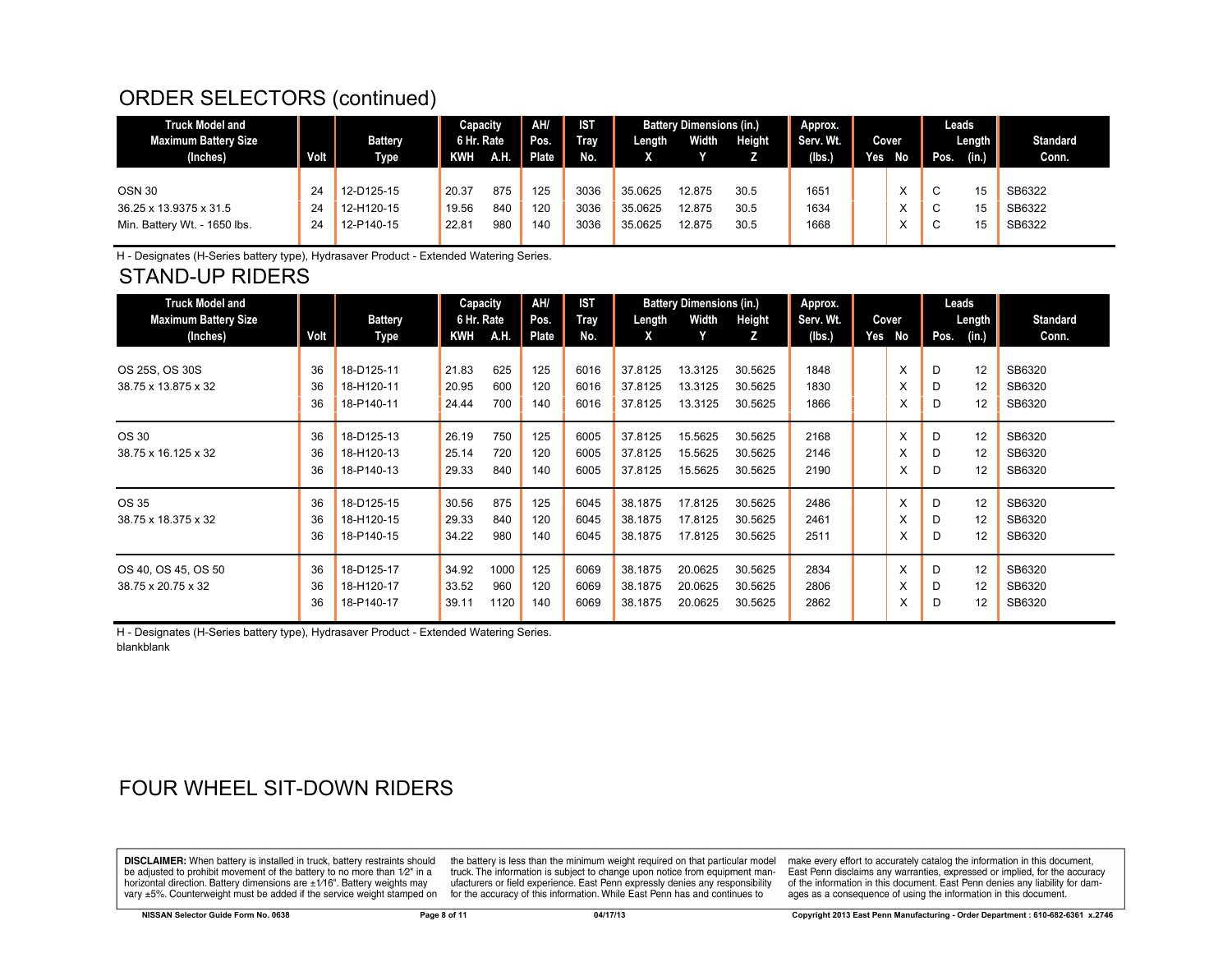#### ORDER SELECTORS (continued)

| 125<br>3036<br>12-D125-15<br>20.37<br>875<br>12.875<br>1651<br><b>OSN 30</b><br>35.0625<br>30.5<br>15<br>24<br>C                | <b>Truck Model and</b><br>Maximum Battery Size<br>(Inches) | Volt | <b>Battery</b><br><b>Type</b> | Capacity<br>6 Hr. Rate<br><b>KWH</b> | AH. | AH/<br>Pos.<br>Plate | <b>IST</b><br><b>Tray</b><br>No. | Length  | <b>Battery Dimensions (in.)</b><br>Width | Height | Approx.<br>Serv. Wt.<br>(Ibs.) | Yes | Cover<br>No | Pos. | Leads<br>Length<br>(in.) | <b>Standard</b><br>Conn.   |
|---------------------------------------------------------------------------------------------------------------------------------|------------------------------------------------------------|------|-------------------------------|--------------------------------------|-----|----------------------|----------------------------------|---------|------------------------------------------|--------|--------------------------------|-----|-------------|------|--------------------------|----------------------------|
| 140<br>980<br>22.81<br>3036<br>1668<br>35.0625<br>12.875<br>Min. Battery Wt. - 1650 lbs.<br>12-P140-15<br>30.5<br>15<br>24<br>C | 36.25 x 13.9375 x 31.5                                     | 24   | 12-H120-15                    | 19.56                                | 840 | 120                  | 3036                             | 35.0625 | 12.875                                   | 30.5   | 1634                           |     |             | C    | 15                       | SB6322<br>SB6322<br>SB6322 |

H - Designates (H-Series battery type), Hydrasaver Product - Extended Watering Series.

#### STAND-UP RIDERS

| <b>Truck Model and</b>      |      |                | Capacity   |      | AH/   | <b>IST</b> | <b>Battery Dimensions (in.)</b> |         | Approx. |           |     | Leads |      |        |                 |
|-----------------------------|------|----------------|------------|------|-------|------------|---------------------------------|---------|---------|-----------|-----|-------|------|--------|-----------------|
| <b>Maximum Battery Size</b> |      | <b>Battery</b> | 6 Hr. Rate |      | Pos.  | Tray       | Length                          | Width   | Height  | Serv. Wt. |     | Cover |      | Length | <b>Standard</b> |
| (Inches)                    | Volt | Type           | <b>KWH</b> | A.H. | Plate | No.        | X                               |         | z       | (Ibs.)    | Yes | No    | Pos. | (in.)  | Conn.           |
|                             |      |                |            |      |       |            |                                 |         |         |           |     |       |      |        |                 |
| OS 25S, OS 30S              | 36   | 18-D125-11     | 21.83      | 625  | 125   | 6016       | 37.8125                         | 13.3125 | 30.5625 | 1848      |     | X     | D    | 12     | SB6320          |
| 38.75 x 13.875 x 32         | 36   | 18-H120-11     | 20.95      | 600  | 120   | 6016       | 37.8125                         | 13.3125 | 30.5625 | 1830      |     | X     | D    | 12     | SB6320          |
|                             | 36   | 18-P140-11     | 24.44      | 700  | 140   | 6016       | 37.8125                         | 13.3125 | 30.5625 | 1866      |     | X     | D    | 12     | SB6320          |
| OS 30                       | 36   | 18-D125-13     | 26.19      | 750  | 125   | 6005       | 37.8125                         | 15.5625 | 30.5625 | 2168      |     | X     | D    | 12     | SB6320          |
| 38.75 x 16.125 x 32         | 36   | 18-H120-13     | 25.14      | 720  | 120   | 6005       | 37.8125                         | 15.5625 | 30.5625 | 2146      |     | X     | D    | 12     | SB6320          |
|                             | 36   | 18-P140-13     | 29.33      | 840  | 140   | 6005       | 37.8125                         | 15.5625 | 30.5625 | 2190      |     | x     | D    | 12     | SB6320          |
| OS 35                       | 36   | 18-D125-15     | 30.56      | 875  | 125   | 6045       | 38.1875                         | 17.8125 | 30.5625 | 2486      |     | X     | D    | 12     | SB6320          |
| 38.75 x 18.375 x 32         | 36   | 18-H120-15     | 29.33      | 840  | 120   | 6045       | 38.1875                         | 17.8125 | 30.5625 | 2461      |     | X     | D    | 12     | SB6320          |
|                             | 36   | 18-P140-15     | 34.22      | 980  | 140   | 6045       | 38.1875                         | 17.8125 | 30.5625 | 2511      |     | X     | D    | 12     | SB6320          |
| OS 40, OS 45, OS 50         | 36   | 18-D125-17     | 34.92      | 1000 | 125   | 6069       | 38.1875                         | 20.0625 | 30.5625 | 2834      |     | X     | D    | 12     | SB6320          |
| 38.75 x 20.75 x 32          | 36   | 18-H120-17     | 33.52      | 960  | 120   | 6069       | 38.1875                         | 20.0625 | 30.5625 | 2806      |     | Х     | D    | 12     | SB6320          |
|                             | 36   | 18-P140-17     | 39.11      | 1120 | 140   | 6069       | 38.1875                         | 20.0625 | 30.5625 | 2862      |     | X     | D    | 12     | SB6320          |

H - Designates (H-Series battery type), Hydrasaver Product - Extended Watering Series. blankblank

#### FOUR WHEEL SIT-DOWN RIDERS

**DISCLAIMER:** When battery is installed in truck, battery restraints should be adjusted to prohibit movement of the battery to no more than 1/2" in a horizontal direction. Battery dimensions are ±1/16". Battery weights may vary ±5%. Counterweight must be added if the service weight stamped on

the battery is less than the minimum weight required on that particular model truck. The information is subject to change upon notice from equipment manufacturers or field experience. East Penn expressly denies any responsibility for the accuracy of this information. While East Penn has and continues to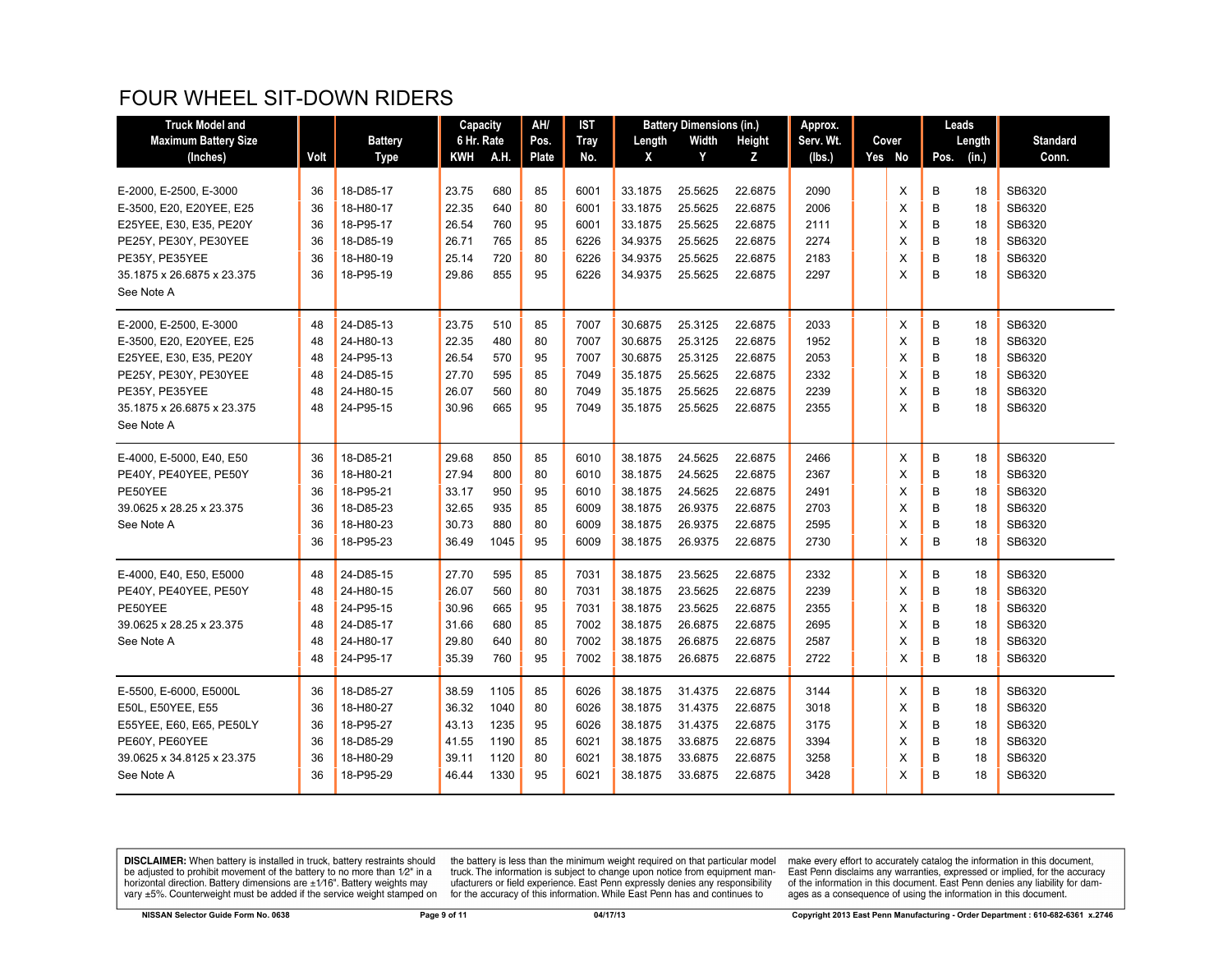#### FOUR WHEEL SIT-DOWN RIDERS

| <b>Truck Model and</b>      |      |                | Capacity   |      | AH/   | IST         |         | <b>Battery Dimensions (in.)</b> |         | Approx.   |  |        | Leads |        |                 |
|-----------------------------|------|----------------|------------|------|-------|-------------|---------|---------------------------------|---------|-----------|--|--------|-------|--------|-----------------|
| <b>Maximum Battery Size</b> |      | <b>Battery</b> | 6 Hr. Rate |      | Pos.  | <b>Tray</b> | Length  | Width                           | Height  | Serv. Wt. |  | Cover  |       | Length | <b>Standard</b> |
| (Inches)                    | Volt | <b>Type</b>    | KWH        | A.H. | Plate | No.         | X       | Y                               | z       | (Ibs.)    |  | Yes No | Pos.  | (in.)  | Conn.           |
|                             |      |                |            |      |       |             |         |                                 |         |           |  |        |       |        |                 |
| E-2000, E-2500, E-3000      | 36   | 18-D85-17      | 23.75      | 680  | 85    | 6001        | 33.1875 | 25.5625                         | 22.6875 | 2090      |  | X      | В     | 18     | SB6320          |
| E-3500, E20, E20YEE, E25    | 36   | 18-H80-17      | 22.35      | 640  | 80    | 6001        | 33.1875 | 25.5625                         | 22.6875 | 2006      |  | Х      | B     | 18     | SB6320          |
| E25YEE, E30, E35, PE20Y     | 36   | 18-P95-17      | 26.54      | 760  | 95    | 6001        | 33.1875 | 25.5625                         | 22.6875 | 2111      |  | X      | B     | 18     | SB6320          |
| PE25Y, PE30Y, PE30YEE       | 36   | 18-D85-19      | 26.71      | 765  | 85    | 6226        | 34.9375 | 25.5625                         | 22.6875 | 2274      |  | X      | B     | 18     | SB6320          |
| PE35Y, PE35YEE              | 36   | 18-H80-19      | 25.14      | 720  | 80    | 6226        | 34.9375 | 25.5625                         | 22.6875 | 2183      |  | X      | B     | 18     | SB6320          |
| 35.1875 x 26.6875 x 23.375  | 36   | 18-P95-19      | 29.86      | 855  | 95    | 6226        | 34.9375 | 25.5625                         | 22.6875 | 2297      |  | X      | B     | 18     | SB6320          |
| See Note A                  |      |                |            |      |       |             |         |                                 |         |           |  |        |       |        |                 |
| E-2000, E-2500, E-3000      | 48   | 24-D85-13      | 23.75      | 510  | 85    | 7007        | 30.6875 | 25.3125                         | 22.6875 | 2033      |  | X      | B     | 18     | SB6320          |
| E-3500, E20, E20YEE, E25    | 48   | 24-H80-13      | 22.35      | 480  | 80    | 7007        | 30.6875 | 25.3125                         | 22.6875 | 1952      |  | X      | В     | 18     | SB6320          |
| E25YEE, E30, E35, PE20Y     | 48   | 24-P95-13      | 26.54      | 570  | 95    | 7007        | 30.6875 | 25.3125                         | 22.6875 | 2053      |  | X      | B     | 18     | SB6320          |
| PE25Y, PE30Y, PE30YEE       | 48   | 24-D85-15      | 27.70      | 595  | 85    | 7049        | 35.1875 | 25.5625                         | 22.6875 | 2332      |  | X      | B     | 18     | SB6320          |
| PE35Y, PE35YEE              | 48   | 24-H80-15      | 26.07      | 560  | 80    | 7049        | 35.1875 | 25.5625                         | 22.6875 | 2239      |  | X      | B     | 18     | SB6320          |
| 35.1875 x 26.6875 x 23.375  | 48   | 24-P95-15      | 30.96      | 665  | 95    | 7049        | 35.1875 | 25.5625                         | 22.6875 | 2355      |  | X      | B     | 18     | SB6320          |
| See Note A                  |      |                |            |      |       |             |         |                                 |         |           |  |        |       |        |                 |
| E-4000, E-5000, E40, E50    | 36   | 18-D85-21      | 29.68      | 850  | 85    | 6010        | 38.1875 | 24.5625                         | 22.6875 | 2466      |  | X      | B     | 18     | SB6320          |
| PE40Y, PE40YEE, PE50Y       | 36   | 18-H80-21      | 27.94      | 800  | 80    | 6010        | 38.1875 | 24.5625                         | 22.6875 | 2367      |  | X      | B     | 18     | SB6320          |
| PE50YEE                     | 36   | 18-P95-21      | 33.17      | 950  | 95    | 6010        | 38.1875 | 24.5625                         | 22.6875 | 2491      |  | X      | B     | 18     | SB6320          |
| 39.0625 x 28.25 x 23.375    | 36   | 18-D85-23      | 32.65      | 935  | 85    | 6009        | 38.1875 | 26.9375                         | 22.6875 | 2703      |  | X      | B     | 18     | SB6320          |
| See Note A                  | 36   | 18-H80-23      | 30.73      | 880  | 80    | 6009        | 38.1875 | 26.9375                         | 22.6875 | 2595      |  | X      | В     | 18     | SB6320          |
|                             | 36   | 18-P95-23      | 36.49      | 1045 | 95    | 6009        | 38.1875 | 26.9375                         | 22.6875 | 2730      |  | X      | B     | 18     | SB6320          |
| E-4000, E40, E50, E5000     | 48   | 24-D85-15      | 27.70      | 595  | 85    | 7031        | 38.1875 | 23.5625                         | 22.6875 | 2332      |  | X      | В     | 18     | SB6320          |
| PE40Y, PE40YEE, PE50Y       | 48   | 24-H80-15      | 26.07      | 560  | 80    | 7031        | 38.1875 | 23.5625                         | 22.6875 | 2239      |  | X      | B     | 18     | SB6320          |
| PE50YEE                     | 48   | 24-P95-15      | 30.96      | 665  | 95    | 7031        | 38.1875 | 23.5625                         | 22.6875 | 2355      |  | X      | B     | 18     | SB6320          |
| 39.0625 x 28.25 x 23.375    | 48   | 24-D85-17      | 31.66      | 680  | 85    | 7002        | 38.1875 | 26.6875                         | 22.6875 | 2695      |  | X      | B     | 18     | SB6320          |
| See Note A                  | 48   | 24-H80-17      | 29.80      | 640  | 80    | 7002        | 38.1875 | 26.6875                         | 22.6875 | 2587      |  | X      | B     | 18     | SB6320          |
|                             | 48   | 24-P95-17      | 35.39      | 760  | 95    | 7002        | 38.1875 | 26.6875                         | 22.6875 | 2722      |  | X      | B     | 18     | SB6320          |
| E-5500, E-6000, E5000L      | 36   | 18-D85-27      | 38.59      | 1105 | 85    | 6026        | 38.1875 | 31.4375                         | 22.6875 | 3144      |  | Х      | В     | 18     | SB6320          |
| E50L, E50YEE, E55           | 36   | 18-H80-27      | 36.32      | 1040 | 80    | 6026        | 38.1875 | 31.4375                         | 22.6875 | 3018      |  | X      | B     | 18     | SB6320          |
| E55YEE, E60, E65, PE50LY    | 36   | 18-P95-27      | 43.13      | 1235 | 95    | 6026        | 38.1875 | 31.4375                         | 22.6875 | 3175      |  | X      | B     | 18     | SB6320          |
| PE60Y, PE60YEE              | 36   | 18-D85-29      | 41.55      | 1190 | 85    | 6021        | 38.1875 | 33.6875                         | 22.6875 | 3394      |  | X      | B     | 18     | SB6320          |
| 39.0625 x 34.8125 x 23.375  | 36   | 18-H80-29      | 39.11      | 1120 | 80    | 6021        | 38.1875 | 33.6875                         | 22.6875 | 3258      |  | X      | B     | 18     | SB6320          |
| See Note A                  | 36   | 18-P95-29      | 46.44      | 1330 | 95    | 6021        | 38.1875 | 33.6875                         | 22.6875 | 3428      |  | X      | B     | 18     | SB6320          |
|                             |      |                |            |      |       |             |         |                                 |         |           |  |        |       |        |                 |

**DISCLAIMER:** When battery is installed in truck, battery restraints should be adjusted to prohibit movement of the battery to no more than  $1/2$ " in a horizontal direction. Battery dimensions are  $\pm 1/16$ ". Battery weig

the battery is less than the minimum weight required on that particular model<br>truck. The information is subject to change upon notice from equipment man-<br>ufacturers or field experience. East Penn expressly denies any respo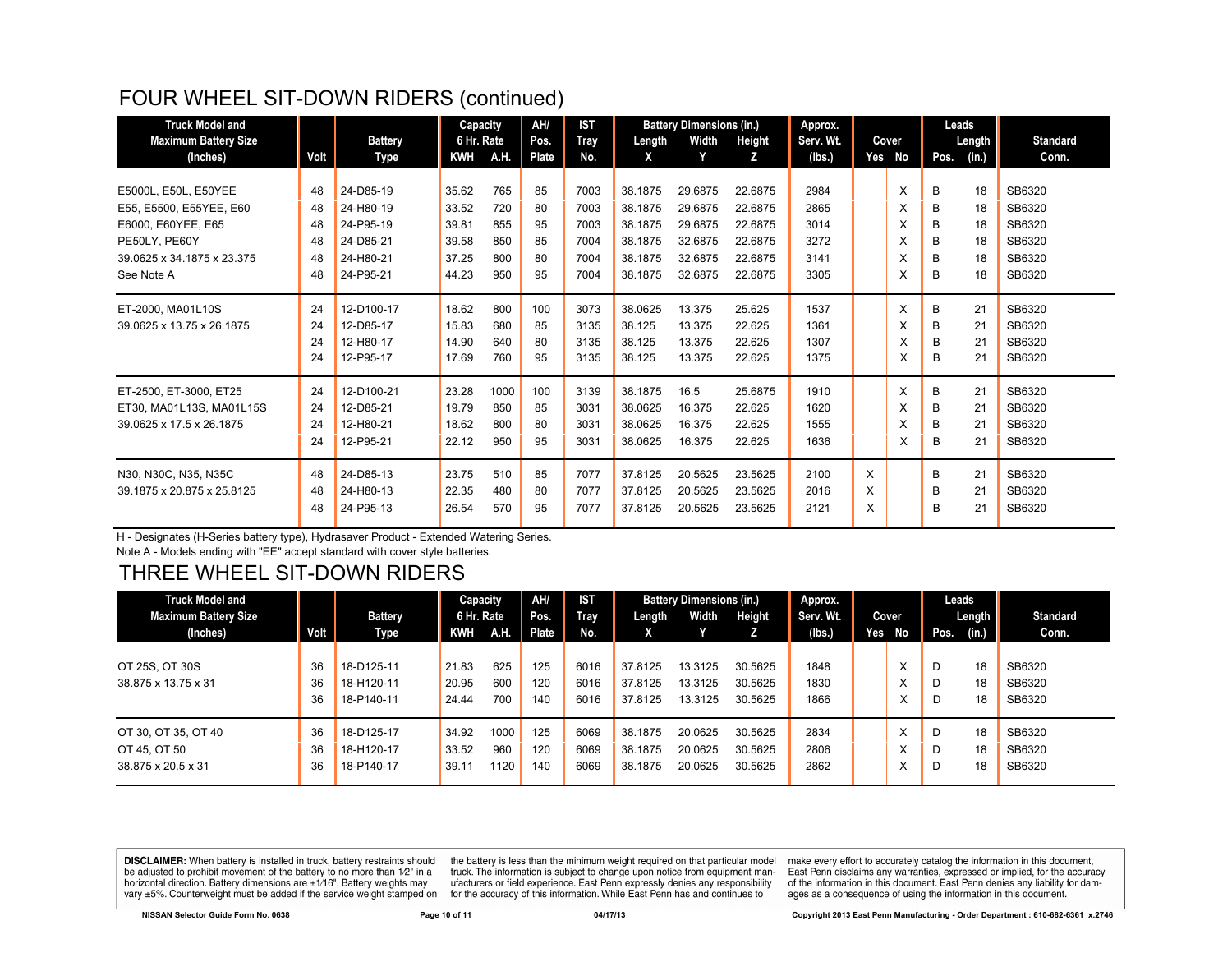#### FOUR WHEEL SIT-DOWN RIDERS (continued)

| <b>Truck Model and</b>      | Capacity |                |            |      | AH/          | <b>IST</b>  |         | <b>Battery Dimensions (in.)</b> |         | Approx.   |   |        | Leads |        |                 |
|-----------------------------|----------|----------------|------------|------|--------------|-------------|---------|---------------------------------|---------|-----------|---|--------|-------|--------|-----------------|
| <b>Maximum Battery Size</b> |          | <b>Battery</b> | 6 Hr. Rate |      | Pos.         | <b>Tray</b> | Length  | Width                           | Height  | Serv. Wt. |   | Cover  |       | Length | <b>Standard</b> |
| (Inches)                    | Volt     | Type           | <b>KWH</b> | A.H. | <b>Plate</b> | No.         | X       | Y                               | z       | (lbs.)    |   | Yes No | Pos.  | (in.)  | Conn.           |
|                             |          |                |            |      |              |             |         |                                 |         |           |   |        |       |        |                 |
| E5000L, E50L, E50YEE        | 48       | 24-D85-19      | 35.62      | 765  | 85           | 7003        | 38.1875 | 29.6875                         | 22.6875 | 2984      |   | X      | B     | 18     | SB6320          |
| E55, E5500, E55YEE, E60     | 48       | 24-H80-19      | 33.52      | 720  | 80           | 7003        | 38.1875 | 29.6875                         | 22.6875 | 2865      |   | X      | B     | 18     | SB6320          |
| E6000, E60YEE, E65          | 48       | 24-P95-19      | 39.81      | 855  | 95           | 7003        | 38.1875 | 29.6875                         | 22.6875 | 3014      |   | X      | B     | 18     | SB6320          |
| PE50LY, PE60Y               | 48       | 24-D85-21      | 39.58      | 850  | 85           | 7004        | 38.1875 | 32.6875                         | 22.6875 | 3272      |   | X      | B     | 18     | SB6320          |
| 39.0625 x 34.1875 x 23.375  | 48       | 24-H80-21      | 37.25      | 800  | 80           | 7004        | 38.1875 | 32.6875                         | 22.6875 | 3141      |   | X      | B     | 18     | SB6320          |
| See Note A                  | 48       | 24-P95-21      | 44.23      | 950  | 95           | 7004        | 38.1875 | 32.6875                         | 22.6875 | 3305      |   | X      | B     | 18     | SB6320          |
| ET-2000, MA01L10S           | 24       | 12-D100-17     | 18.62      | 800  | 100          | 3073        | 38.0625 | 13.375                          | 25.625  | 1537      |   | X      | B     | 21     | SB6320          |
| 39.0625 x 13.75 x 26.1875   | 24       | 12-D85-17      | 15.83      | 680  | 85           | 3135        | 38.125  | 13.375                          | 22.625  | 1361      |   | X      | B     | 21     | SB6320          |
|                             | 24       | 12-H80-17      | 14.90      | 640  | 80           | 3135        | 38.125  | 13.375                          | 22.625  | 1307      |   | X      | в     | 21     | SB6320          |
|                             | 24       | 12-P95-17      | 17.69      | 760  | 95           | 3135        | 38.125  | 13.375                          | 22.625  | 1375      |   | X      | B     | 21     | SB6320          |
| ET-2500, ET-3000, ET25      | 24       | 12-D100-21     | 23.28      | 1000 | 100          | 3139        | 38.1875 | 16.5                            | 25.6875 | 1910      |   | X      | B     | 21     | SB6320          |
| ET30, MA01L13S, MA01L15S    | 24       | 12-D85-21      | 19.79      | 850  | 85           | 3031        | 38.0625 | 16.375                          | 22.625  | 1620      |   | X      | B     | 21     | SB6320          |
| 39.0625 x 17.5 x 26.1875    | 24       | 12-H80-21      | 18.62      | 800  | 80           | 3031        | 38.0625 | 16.375                          | 22.625  | 1555      |   | X      | B     | 21     | SB6320          |
|                             | 24       | 12-P95-21      | 22.12      | 950  | 95           | 3031        | 38.0625 | 16.375                          | 22.625  | 1636      |   | X      | в     | 21     | SB6320          |
| N30, N30C, N35, N35C        | 48       | 24-D85-13      | 23.75      | 510  | 85           | 7077        | 37.8125 | 20.5625                         | 23.5625 | 2100      | X |        | B     | 21     | SB6320          |
| 39.1875 x 20.875 x 25.8125  | 48       | 24-H80-13      | 22.35      | 480  | 80           | 7077        | 37.8125 | 20.5625                         | 23.5625 | 2016      | X |        | B     | 21     | SB6320          |
|                             | 48       | 24-P95-13      | 26.54      | 570  | 95           | 7077        | 37.8125 | 20.5625                         | 23.5625 | 2121      | X |        | B     | 21     | SB6320          |

H - Designates (H-Series battery type), Hydrasaver Product - Extended Watering Series.

Note A - Models ending with "EE" accept standard with cover style batteries.

## THREE WHEEL SIT-DOWN RIDERS

| <b>Truck Model and</b>      |      |                | Capacity   |      | AH/   | <b>IST</b> | <b>Battery Dimensions (in.)</b> |         | Approx.       |           |  | Leads     |      |        |                 |
|-----------------------------|------|----------------|------------|------|-------|------------|---------------------------------|---------|---------------|-----------|--|-----------|------|--------|-----------------|
| <b>Maximum Battery Size</b> |      | <b>Battery</b> | 6 Hr. Rate |      | Pos.  | Tray       | Length                          | Width   | <b>Height</b> | Serv. Wt. |  | Cover     |      | Length | <b>Standard</b> |
| (Inches)                    | Volt | Type           | KWH        | A.H. | Plate | No.        | x                               |         |               | (lbs.)    |  | Yes No    | Pos. | (in.)  | Conn.           |
|                             |      |                |            |      |       |            |                                 |         |               |           |  |           |      |        |                 |
| OT 25S, OT 30S              | 36   | 18-D125-11     | 21.83      | 625  | 125   | 6016       | 37.8125                         | 13.3125 | 30.5625       | 1848      |  | v         | D    | 18     | SB6320          |
| 38.875 x 13.75 x 31         | 36   | 18-H120-11     | 20.95      | 600  | 120   | 6016       | 37.8125                         | 13.3125 | 30.5625       | 1830      |  | $\lambda$ | D    | 18     | SB6320          |
|                             | 36   | 18-P140-11     | 24.44      | 700  | 140   | 6016       | 37.8125                         | 13.3125 | 30.5625       | 1866      |  | $\lambda$ | D    | 18     | SB6320          |
| OT 30, OT 35, OT 40         | 36   | 18-D125-17     | 34.92      | 1000 | 125   | 6069       | 38.1875                         | 20.0625 | 30.5625       | 2834      |  | X         | D    | 18     | SB6320          |
| OT 45, OT 50                | 36   | 18-H120-17     | 33.52      | 960  | 120   | 6069       | 38.1875                         | 20.0625 | 30.5625       | 2806      |  |           | D    | 18     | SB6320          |
|                             |      |                |            |      |       |            |                                 |         |               |           |  | $\lambda$ |      |        |                 |
| 38.875 x 20.5 x 31          | 36   | 18-P140-17     | 39.11      | 1120 | 140   | 6069       | 38.1875                         | 20.0625 | 30.5625       | 2862      |  | ㅅ         | D    | 18     | SB6320          |

**DISCLAIMER:** When battery is installed in truck, battery restraints should be adjusted to prohibit movement of the battery to no more than 1/2" in a horizontal direction. Battery dimensions are  $\pm 1/16$ ". Battery weights may vary ±5%. Counterweight must be added if the service weight stamped on

the battery is less than the minimum weight required on that particular model<br>truck. The information is subject to change upon notice from equipment manufacturers or field experience. East Penn expressly denies any responsibility for the accuracy of this information. While East Penn has and continues to